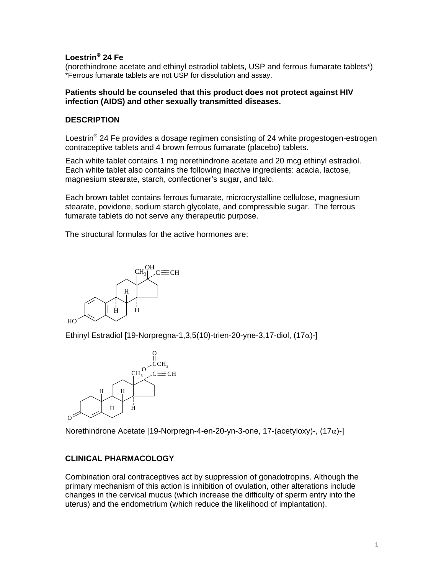# **Loestrin**® **24 Fe**

(norethindrone acetate and ethinyl estradiol tablets, USP and ferrous fumarate tablets\*) \*Ferrous fumarate tablets are not USP for dissolution and assay.

#### **Patients should be counseled that this product does not protect against HIV infection (AIDS) and other sexually transmitted diseases.**

# **DESCRIPTION**

Loestrin<sup>®</sup> 24 Fe provides a dosage regimen consisting of 24 white progestogen-estrogen contraceptive tablets and 4 brown ferrous fumarate (placebo) tablets.

Each white tablet contains 1 mg norethindrone acetate and 20 mcg ethinyl estradiol. Each white tablet also contains the following inactive ingredients: acacia, lactose, magnesium stearate, starch, confectioner's sugar, and talc.

Each brown tablet contains ferrous fumarate, microcrystalline cellulose, magnesium stearate, povidone, sodium starch glycolate, and compressible sugar. The ferrous fumarate tablets do not serve any therapeutic purpose.

The structural formulas for the active hormones are:



Ethinyl Estradiol [19-Norpregna-1,3,5(10)-trien-20-yne-3,17-diol,  $(17\alpha)$ -]



Norethindrone Acetate [19-Norpregn-4-en-20-yn-3-one, 17-(acetyloxy)-,  $(17\alpha)$ -]

# **CLINICAL PHARMACOLOGY**

Combination oral contraceptives act by suppression of gonadotropins. Although the primary mechanism of this action is inhibition of ovulation, other alterations include changes in the cervical mucus (which increase the difficulty of sperm entry into the uterus) and the endometrium (which reduce the likelihood of implantation).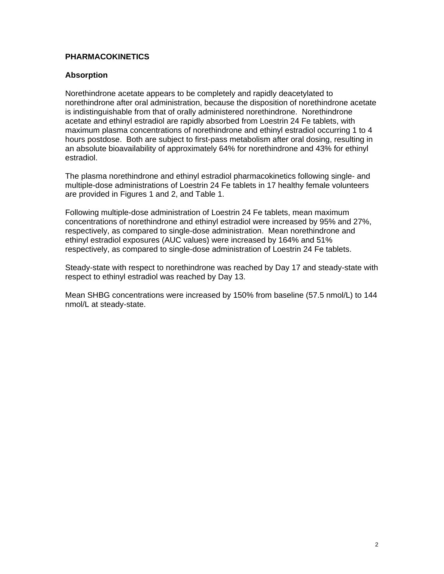# **PHARMACOKINETICS**

## **Absorption**

Norethindrone acetate appears to be completely and rapidly deacetylated to norethindrone after oral administration, because the disposition of norethindrone acetate is indistinguishable from that of orally administered norethindrone. Norethindrone acetate and ethinyl estradiol are rapidly absorbed from Loestrin 24 Fe tablets, with maximum plasma concentrations of norethindrone and ethinyl estradiol occurring 1 to 4 hours postdose. Both are subject to first-pass metabolism after oral dosing, resulting in an absolute bioavailability of approximately 64% for norethindrone and 43% for ethinyl estradiol.

The plasma norethindrone and ethinyl estradiol pharmacokinetics following single- and multiple-dose administrations of Loestrin 24 Fe tablets in 17 healthy female volunteers are provided in Figures 1 and 2, and Table 1.

Following multiple-dose administration of Loestrin 24 Fe tablets, mean maximum concentrations of norethindrone and ethinyl estradiol were increased by 95% and 27%, respectively, as compared to single-dose administration. Mean norethindrone and ethinyl estradiol exposures (AUC values) were increased by 164% and 51% respectively, as compared to single-dose administration of Loestrin 24 Fe tablets.

Steady-state with respect to norethindrone was reached by Day 17 and steady-state with respect to ethinyl estradiol was reached by Day 13.

Mean SHBG concentrations were increased by 150% from baseline (57.5 nmol/L) to 144 nmol/L at steady-state.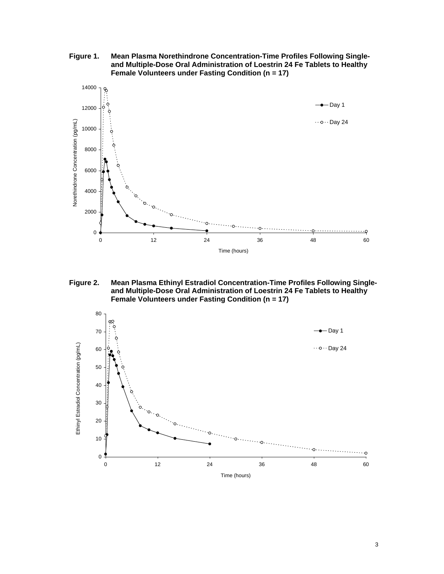**Figure 1. Mean Plasma Norethindrone Concentration-Time Profiles Following Singleand Multiple-Dose Oral Administration of Loestrin 24 Fe Tablets to Healthy Female Volunteers under Fasting Condition (n = 17)**



**Figure 2. Mean Plasma Ethinyl Estradiol Concentration-Time Profiles Following Singleand Multiple-Dose Oral Administration of Loestrin 24 Fe Tablets to Healthy Female Volunteers under Fasting Condition (n = 17)**

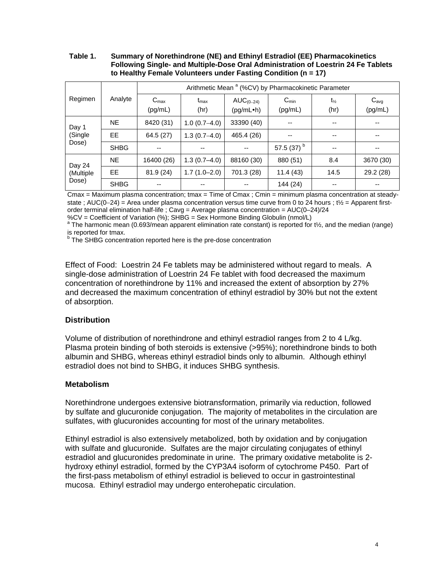#### **Table 1. Summary of Norethindrone (NE) and Ethinyl Estradiol (EE) Pharmacokinetics Following Single- and Multiple-Dose Oral Administration of Loestrin 24 Fe Tablets to Healthy Female Volunteers under Fasting Condition (n = 17)**

| Regimen                      | Analyte     | Arithmetic Mean <sup>a</sup> (%CV) by Pharmacokinetic Parameter |                          |                             |                        |                           |                      |  |
|------------------------------|-------------|-----------------------------------------------------------------|--------------------------|-----------------------------|------------------------|---------------------------|----------------------|--|
|                              |             | $C_{\text{max}}$<br>(pg/mL)                                     | $t_{\text{max}}$<br>(hr) | $AUC_{(0-24)}$<br>(pg/mL•h) | $C_{min}$<br>(pg/mL)   | $t_{\frac{1}{2}}$<br>(hr) | $C_{avg}$<br>(pg/mL) |  |
| Day 1<br>(Single<br>Dose)    | <b>NE</b>   | 8420 (31)                                                       | $1.0(0.7-4.0)$           | 33390 (40)                  | --                     | --                        |                      |  |
|                              | EE          | 64.5 (27)                                                       | $1.3(0.7-4.0)$           | 465.4 (26)                  |                        |                           |                      |  |
|                              | <b>SHBG</b> |                                                                 |                          |                             | 57.5 (37) <sup>b</sup> | --                        |                      |  |
| Day 24<br>(Multiple<br>Dose) | <b>NE</b>   | 16400 (26)                                                      | $1.3(0.7-4.0)$           | 88160 (30)                  | 880 (51)               | 8.4                       | 3670 (30)            |  |
|                              | <b>EE</b>   | 81.9 (24)                                                       | $1.7(1.0-2.0)$           | 701.3 (28)                  | 11.4(43)               | 14.5                      | 29.2 (28)            |  |
|                              | <b>SHBG</b> |                                                                 |                          |                             | 144 (24)               |                           |                      |  |

Cmax = Maximum plasma concentration; tmax = Time of Cmax ; Cmin = minimum plasma concentration at steadystate ; AUC(0−24) = Area under plasma concentration versus time curve from 0 to 24 hours ; t½ = Apparent firstorder terminal elimination half-life ; Cavg = Average plasma concentration = AUC(0–24)/24

%CV = Coefficient of Variation (%); SHBG = Sex Hormone Binding Globulin (nmol/L)

 $^a$  The harmonic mean (0.693/mean apparent elimination rate constant) is reported for t $\frac{1}{2}$ , and the median (range) is reported for tmax.

<sup>b</sup> The SHBG concentration reported here is the pre-dose concentration

Effect of Food: Loestrin 24 Fe tablets may be administered without regard to meals. A single-dose administration of Loestrin 24 Fe tablet with food decreased the maximum concentration of norethindrone by 11% and increased the extent of absorption by 27% and decreased the maximum concentration of ethinyl estradiol by 30% but not the extent of absorption.

# **Distribution**

Volume of distribution of norethindrone and ethinyl estradiol ranges from 2 to 4 L/kg. Plasma protein binding of both steroids is extensive (>95%); norethindrone binds to both albumin and SHBG, whereas ethinyl estradiol binds only to albumin. Although ethinyl estradiol does not bind to SHBG, it induces SHBG synthesis.

# **Metabolism**

Norethindrone undergoes extensive biotransformation, primarily via reduction, followed by sulfate and glucuronide conjugation. The majority of metabolites in the circulation are sulfates, with glucuronides accounting for most of the urinary metabolites.

Ethinyl estradiol is also extensively metabolized, both by oxidation and by conjugation with sulfate and glucuronide. Sulfates are the major circulating conjugates of ethinyl estradiol and glucuronides predominate in urine. The primary oxidative metabolite is 2 hydroxy ethinyl estradiol, formed by the CYP3A4 isoform of cytochrome P450. Part of the first-pass metabolism of ethinyl estradiol is believed to occur in gastrointestinal mucosa. Ethinyl estradiol may undergo enterohepatic circulation.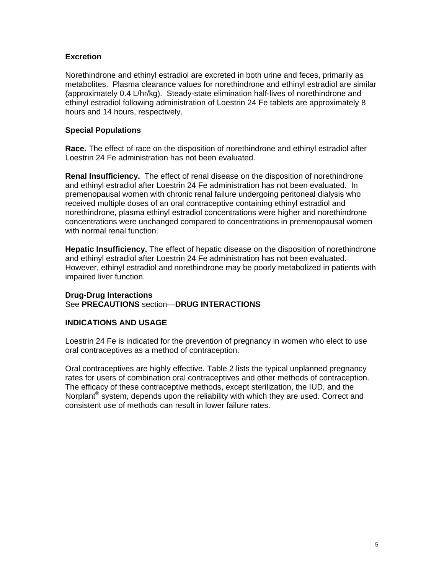# **Excretion**

Norethindrone and ethinyl estradiol are excreted in both urine and feces, primarily as metabolites. Plasma clearance values for norethindrone and ethinyl estradiol are similar (approximately 0.4 L/hr/kg). Steady-state elimination half-lives of norethindrone and ethinyl estradiol following administration of Loestrin 24 Fe tablets are approximately 8 hours and 14 hours, respectively.

# **Special Populations**

**Race.** The effect of race on the disposition of norethindrone and ethinyl estradiol after Loestrin 24 Fe administration has not been evaluated.

**Renal Insufficiency.** The effect of renal disease on the disposition of norethindrone and ethinyl estradiol after Loestrin 24 Fe administration has not been evaluated. In premenopausal women with chronic renal failure undergoing peritoneal dialysis who received multiple doses of an oral contraceptive containing ethinyl estradiol and norethindrone, plasma ethinyl estradiol concentrations were higher and norethindrone concentrations were unchanged compared to concentrations in premenopausal women with normal renal function.

**Hepatic Insufficiency.** The effect of hepatic disease on the disposition of norethindrone and ethinyl estradiol after Loestrin 24 Fe administration has not been evaluated. However, ethinyl estradiol and norethindrone may be poorly metabolized in patients with impaired liver function.

#### **Drug-Drug Interactions**  See **PRECAUTIONS** section—**DRUG INTERACTIONS**

# **INDICATIONS AND USAGE**

Loestrin 24 Fe is indicated for the prevention of pregnancy in women who elect to use oral contraceptives as a method of contraception.

Oral contraceptives are highly effective. Table 2 lists the typical unplanned pregnancy rates for users of combination oral contraceptives and other methods of contraception. The efficacy of these contraceptive methods, except sterilization, the IUD, and the Norplant® system, depends upon the reliability with which they are used. Correct and consistent use of methods can result in lower failure rates.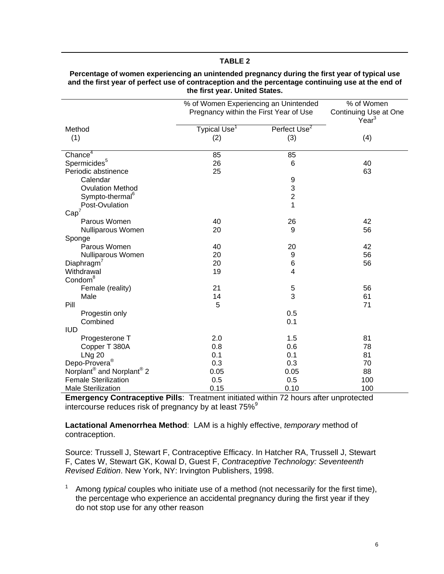#### **TABLE 2**

| Percentage of women experiencing an unintended pregnancy during the first year of typical use      |
|----------------------------------------------------------------------------------------------------|
| and the first year of perfect use of contraception and the percentage continuing use at the end of |
| the first vear. United States.                                                                     |

|                                                   | % of Women Experiencing an Unintended  | % of Women                                 |     |  |
|---------------------------------------------------|----------------------------------------|--------------------------------------------|-----|--|
|                                                   | Pregnancy within the First Year of Use | Continuing Use at One<br>Year <sup>3</sup> |     |  |
| Method                                            | Typical Use <sup>1</sup>               | Perfect Use <sup>2</sup>                   |     |  |
| (1)                                               | (2)                                    | (3)                                        | (4) |  |
|                                                   |                                        |                                            |     |  |
| Chance <sup>4</sup>                               | 85                                     | 85                                         |     |  |
| Spermicides <sup>5</sup>                          | 26                                     | 6                                          | 40  |  |
| Periodic abstinence                               | 25                                     |                                            | 63  |  |
| Calendar                                          |                                        | 9                                          |     |  |
| <b>Ovulation Method</b>                           |                                        | $\frac{3}{2}$                              |     |  |
| Sympto-thermal <sup>6</sup>                       |                                        |                                            |     |  |
| Post-Ovulation                                    |                                        | $\overline{1}$                             |     |  |
| Cap <sup>7</sup>                                  |                                        |                                            |     |  |
| Parous Women                                      | 40                                     | 26                                         | 42  |  |
| Nulliparous Women                                 | 20                                     | 9                                          | 56  |  |
| Sponge                                            |                                        |                                            |     |  |
| Parous Women                                      | 40                                     | 20                                         | 42  |  |
| Nulliparous Women                                 | 20                                     | 9                                          | 56  |  |
| Diaphragm <sup>7</sup>                            | 20                                     | 6                                          | 56  |  |
| Withdrawal                                        | 19                                     | 4                                          |     |  |
| Condom <sup>8</sup>                               |                                        |                                            |     |  |
| Female (reality)                                  | 21                                     | 5                                          | 56  |  |
| Male                                              | 14                                     | 3                                          | 61  |  |
| Pill                                              | 5                                      |                                            | 71  |  |
| Progestin only                                    |                                        | 0.5                                        |     |  |
| Combined                                          |                                        | 0.1                                        |     |  |
| <b>IUD</b>                                        |                                        |                                            |     |  |
| Progesterone T                                    | 2.0                                    | 1.5                                        | 81  |  |
| Copper T 380A                                     | 0.8                                    | 0.6                                        | 78  |  |
| <b>LNg 20</b>                                     | 0.1                                    | 0.1                                        | 81  |  |
| Depo-Provera <sup>®</sup>                         | 0.3                                    | 0.3                                        | 70  |  |
| Norplant <sup>®</sup> and Norplant <sup>®</sup> 2 | 0.05                                   | 0.05                                       | 88  |  |
| <b>Female Sterilization</b>                       | 0.5                                    | 0.5                                        | 100 |  |
| <b>Male Sterilization</b>                         | 0.15                                   | 0.10                                       | 100 |  |
|                                                   |                                        |                                            |     |  |

**Emergency Contraceptive Pills**: Treatment initiated within 72 hours after unprotected intercourse reduces risk of pregnancy by at least 75%<sup>9</sup>

**Lactational Amenorrhea Method**: LAM is a highly effective, *temporary* method of contraception.

Source: Trussell J, Stewart F, Contraceptive Efficacy. In Hatcher RA, Trussell J, Stewart F, Cates W, Stewart GK, Kowal D, Guest F, *Contraceptive Technology: Seventeenth Revised Edition*. New York, NY: Irvington Publishers, 1998.

<sup>1</sup> Among *typical* couples who initiate use of a method (not necessarily for the first time), the percentage who experience an accidental pregnancy during the first year if they do not stop use for any other reason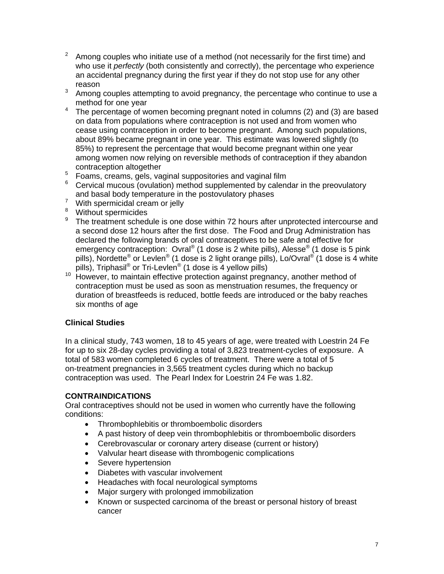- <sup>2</sup> Among couples who initiate use of a method (not necessarily for the first time) and who use it *perfectly* (both consistently and correctly), the percentage who experience an accidental pregnancy during the first year if they do not stop use for any other reason
- $3\overline{2}$  Among couples attempting to avoid pregnancy, the percentage who continue to use a method for one year
- 4 The percentage of women becoming pregnant noted in columns (2) and (3) are based on data from populations where contraception is not used and from women who cease using contraception in order to become pregnant. Among such populations, about 89% became pregnant in one year. This estimate was lowered slightly (to 85%) to represent the percentage that would become pregnant within one year among women now relying on reversible methods of contraception if they abandon contraception altogether
- 5 Foams, creams, gels, vaginal suppositories and vaginal film
- 6 Cervical mucous (ovulation) method supplemented by calendar in the preovulatory and basal body temperature in the postovulatory phases
- 7 With spermicidal cream or jelly
- $\frac{8}{9}$  Without spermicides
- The treatment schedule is one dose within 72 hours after unprotected intercourse and a second dose 12 hours after the first dose. The Food and Drug Administration has declared the following brands of oral contraceptives to be safe and effective for emergency contraception: Ovral<sup>®</sup> (1 dose is 2 white pills), Alesse<sup>®</sup> (1 dose is 5 pink pills), Nordette<sup>®</sup> or Levlen<sup>®</sup> (1 dose is 2 light orange pills), Lo/Ovral<sup>®</sup> (1 dose is 4 white pills), Triphasil<sup>®</sup> or Tri-Levlen<sup>®</sup> (1 dose is 4 yellow pills)
- <sup>10</sup> However, to maintain effective protection against pregnancy, another method of contraception must be used as soon as menstruation resumes, the frequency or duration of breastfeeds is reduced, bottle feeds are introduced or the baby reaches six months of age

# **Clinical Studies**

In a clinical study, 743 women, 18 to 45 years of age, were treated with Loestrin 24 Fe for up to six 28-day cycles providing a total of 3,823 treatment-cycles of exposure. A total of 583 women completed 6 cycles of treatment. There were a total of 5 on-treatment pregnancies in 3,565 treatment cycles during which no backup contraception was used. The Pearl Index for Loestrin 24 Fe was 1.82.

# **CONTRAINDICATIONS**

Oral contraceptives should not be used in women who currently have the following conditions:

- Thrombophlebitis or thromboembolic disorders
- A past history of deep vein thrombophlebitis or thromboembolic disorders
- Cerebrovascular or coronary artery disease (current or history)
- Valvular heart disease with thrombogenic complications
- Severe hypertension
- Diabetes with vascular involvement
- Headaches with focal neurological symptoms
- Major surgery with prolonged immobilization
- Known or suspected carcinoma of the breast or personal history of breast cancer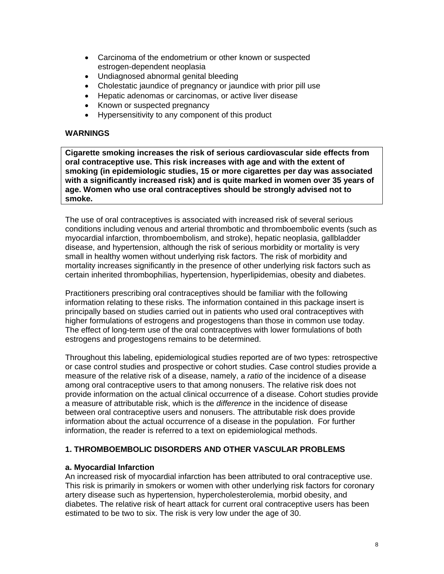- Carcinoma of the endometrium or other known or suspected estrogen-dependent neoplasia
- Undiagnosed abnormal genital bleeding
- Cholestatic jaundice of pregnancy or jaundice with prior pill use
- Hepatic adenomas or carcinomas, or active liver disease
- Known or suspected pregnancy
- Hypersensitivity to any component of this product

#### **WARNINGS**

**Cigarette smoking increases the risk of serious cardiovascular side effects from oral contraceptive use. This risk increases with age and with the extent of smoking (in epidemiologic studies, 15 or more cigarettes per day was associated with a significantly increased risk) and is quite marked in women over 35 years of age. Women who use oral contraceptives should be strongly advised not to smoke.** 

The use of oral contraceptives is associated with increased risk of several serious conditions including venous and arterial thrombotic and thromboembolic events (such as myocardial infarction, thromboembolism, and stroke), hepatic neoplasia, gallbladder disease, and hypertension, although the risk of serious morbidity or mortality is very small in healthy women without underlying risk factors. The risk of morbidity and mortality increases significantly in the presence of other underlying risk factors such as certain inherited thrombophilias, hypertension, hyperlipidemias, obesity and diabetes.

Practitioners prescribing oral contraceptives should be familiar with the following information relating to these risks. The information contained in this package insert is principally based on studies carried out in patients who used oral contraceptives with higher formulations of estrogens and progestogens than those in common use today. The effect of long-term use of the oral contraceptives with lower formulations of both estrogens and progestogens remains to be determined.

Throughout this labeling, epidemiological studies reported are of two types: retrospective or case control studies and prospective or cohort studies. Case control studies provide a measure of the relative risk of a disease, namely, a *ratio* of the incidence of a disease among oral contraceptive users to that among nonusers. The relative risk does not provide information on the actual clinical occurrence of a disease. Cohort studies provide a measure of attributable risk, which is the *difference* in the incidence of disease between oral contraceptive users and nonusers. The attributable risk does provide information about the actual occurrence of a disease in the population. For further information, the reader is referred to a text on epidemiological methods.

# **1. THROMBOEMBOLIC DISORDERS AND OTHER VASCULAR PROBLEMS**

#### **a. Myocardial Infarction**

An increased risk of myocardial infarction has been attributed to oral contraceptive use. This risk is primarily in smokers or women with other underlying risk factors for coronary artery disease such as hypertension, hypercholesterolemia, morbid obesity, and diabetes. The relative risk of heart attack for current oral contraceptive users has been estimated to be two to six. The risk is very low under the age of 30.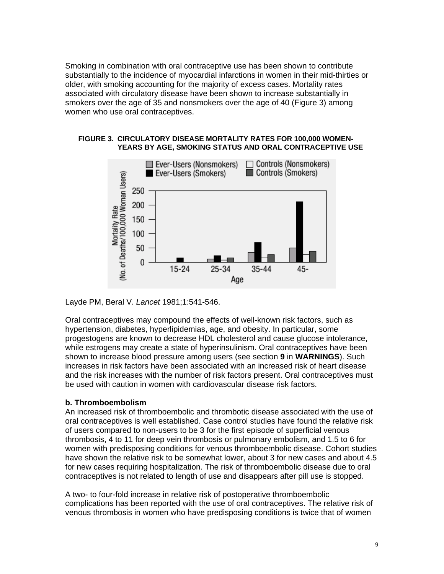Smoking in combination with oral contraceptive use has been shown to contribute substantially to the incidence of myocardial infarctions in women in their mid-thirties or older, with smoking accounting for the majority of excess cases. Mortality rates associated with circulatory disease have been shown to increase substantially in smokers over the age of 35 and nonsmokers over the age of 40 (Figure 3) among women who use oral contraceptives.

#### **FIGURE 3. CIRCULATORY DISEASE MORTALITY RATES FOR 100,000 WOMEN-YEARS BY AGE, SMOKING STATUS AND ORAL CONTRACEPTIVE USE**



Layde PM, Beral V. *Lancet* 1981;1:541-546.

Oral contraceptives may compound the effects of well-known risk factors, such as hypertension, diabetes, hyperlipidemias, age, and obesity. In particular, some progestogens are known to decrease HDL cholesterol and cause glucose intolerance, while estrogens may create a state of hyperinsulinism. Oral contraceptives have been shown to increase blood pressure among users (see section **9** in **WARNINGS**). Such increases in risk factors have been associated with an increased risk of heart disease and the risk increases with the number of risk factors present. Oral contraceptives must be used with caution in women with cardiovascular disease risk factors.

# **b. Thromboembolism**

An increased risk of thromboembolic and thrombotic disease associated with the use of oral contraceptives is well established. Case control studies have found the relative risk of users compared to non-users to be 3 for the first episode of superficial venous thrombosis, 4 to 11 for deep vein thrombosis or pulmonary embolism, and 1.5 to 6 for women with predisposing conditions for venous thromboembolic disease. Cohort studies have shown the relative risk to be somewhat lower, about 3 for new cases and about 4.5 for new cases requiring hospitalization. The risk of thromboembolic disease due to oral contraceptives is not related to length of use and disappears after pill use is stopped.

A two- to four-fold increase in relative risk of postoperative thromboembolic complications has been reported with the use of oral contraceptives. The relative risk of venous thrombosis in women who have predisposing conditions is twice that of women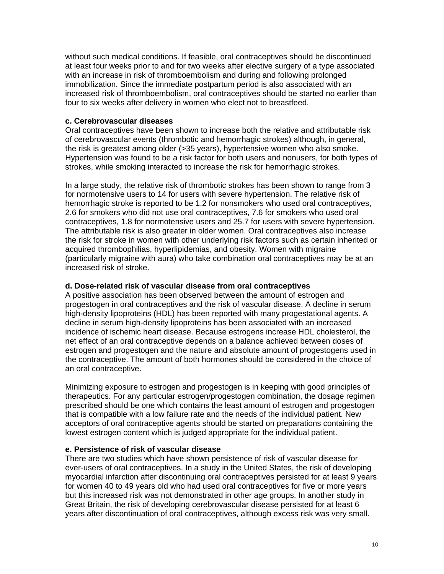without such medical conditions. If feasible, oral contraceptives should be discontinued at least four weeks prior to and for two weeks after elective surgery of a type associated with an increase in risk of thromboembolism and during and following prolonged immobilization. Since the immediate postpartum period is also associated with an increased risk of thromboembolism, oral contraceptives should be started no earlier than four to six weeks after delivery in women who elect not to breastfeed.

## **c. Cerebrovascular diseases**

Oral contraceptives have been shown to increase both the relative and attributable risk of cerebrovascular events (thrombotic and hemorrhagic strokes) although, in general, the risk is greatest among older (>35 years), hypertensive women who also smoke. Hypertension was found to be a risk factor for both users and nonusers, for both types of strokes, while smoking interacted to increase the risk for hemorrhagic strokes.

In a large study, the relative risk of thrombotic strokes has been shown to range from 3 for normotensive users to 14 for users with severe hypertension. The relative risk of hemorrhagic stroke is reported to be 1.2 for nonsmokers who used oral contraceptives, 2.6 for smokers who did not use oral contraceptives, 7.6 for smokers who used oral contraceptives, 1.8 for normotensive users and 25.7 for users with severe hypertension. The attributable risk is also greater in older women. Oral contraceptives also increase the risk for stroke in women with other underlying risk factors such as certain inherited or acquired thrombophilias, hyperlipidemias, and obesity. Women with migraine (particularly migraine with aura) who take combination oral contraceptives may be at an increased risk of stroke.

#### **d. Dose-related risk of vascular disease from oral contraceptives**

A positive association has been observed between the amount of estrogen and progestogen in oral contraceptives and the risk of vascular disease. A decline in serum high-density lipoproteins (HDL) has been reported with many progestational agents. A decline in serum high-density lipoproteins has been associated with an increased incidence of ischemic heart disease. Because estrogens increase HDL cholesterol, the net effect of an oral contraceptive depends on a balance achieved between doses of estrogen and progestogen and the nature and absolute amount of progestogens used in the contraceptive. The amount of both hormones should be considered in the choice of an oral contraceptive.

Minimizing exposure to estrogen and progestogen is in keeping with good principles of therapeutics. For any particular estrogen/progestogen combination, the dosage regimen prescribed should be one which contains the least amount of estrogen and progestogen that is compatible with a low failure rate and the needs of the individual patient. New acceptors of oral contraceptive agents should be started on preparations containing the lowest estrogen content which is judged appropriate for the individual patient.

#### **e. Persistence of risk of vascular disease**

There are two studies which have shown persistence of risk of vascular disease for ever-users of oral contraceptives. In a study in the United States, the risk of developing myocardial infarction after discontinuing oral contraceptives persisted for at least 9 years for women 40 to 49 years old who had used oral contraceptives for five or more years but this increased risk was not demonstrated in other age groups. In another study in Great Britain, the risk of developing cerebrovascular disease persisted for at least 6 years after discontinuation of oral contraceptives, although excess risk was very small.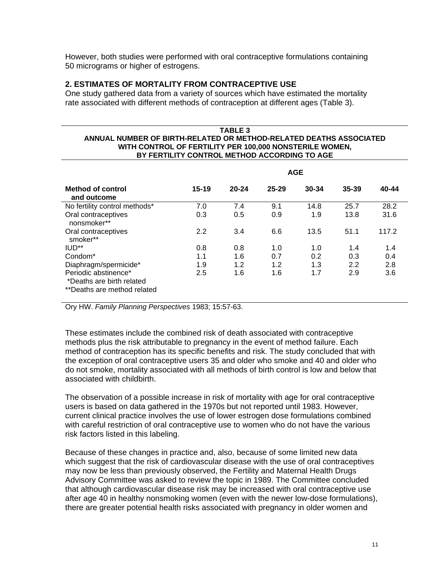However, both studies were performed with oral contraceptive formulations containing 50 micrograms or higher of estrogens.

## **2. ESTIMATES OF MORTALITY FROM CONTRACEPTIVE USE**

One study gathered data from a variety of sources which have estimated the mortality rate associated with different methods of contraception at different ages (Table 3).

#### **TABLE 3 ANNUAL NUMBER OF BIRTH-RELATED OR METHOD-RELATED DEATHS ASSOCIATED WITH CONTROL OF FERTILITY PER 100,000 NONSTERILE WOMEN, BY FERTILITY CONTROL METHOD ACCORDING TO AGE**

|                                                                                  | <b>AGE</b> |           |           |       |           |       |
|----------------------------------------------------------------------------------|------------|-----------|-----------|-------|-----------|-------|
| <b>Method of control</b><br>and outcome                                          | $15 - 19$  | $20 - 24$ | $25 - 29$ | 30-34 | $35 - 39$ | 40-44 |
| No fertility control methods*                                                    | 7.0        | 7.4       | 9.1       | 14.8  | 25.7      | 28.2  |
| Oral contraceptives<br>nonsmoker**                                               | 0.3        | 0.5       | 0.9       | 1.9   | 13.8      | 31.6  |
| Oral contraceptives<br>smoker**                                                  | 2.2        | 3.4       | 6.6       | 13.5  | 51.1      | 117.2 |
| $IUD**$                                                                          | 0.8        | 0.8       | 1.0       | 1.0   | 1.4       | 1.4   |
| Condom <sup>*</sup>                                                              | 1.1        | 1.6       | 0.7       | 0.2   | 0.3       | 0.4   |
| Diaphragm/spermicide*                                                            | 1.9        | 1.2       | 1.2       | 1.3   | 2.2       | 2.8   |
| Periodic abstinence*<br>*Deaths are birth related<br>**Deaths are method related | 2.5        | 1.6       | 1.6       | 1.7   | 2.9       | 3.6   |

Ory HW. *Family Planning Perspectives* 1983; 15:57-63.

These estimates include the combined risk of death associated with contraceptive methods plus the risk attributable to pregnancy in the event of method failure. Each method of contraception has its specific benefits and risk. The study concluded that with the exception of oral contraceptive users 35 and older who smoke and 40 and older who do not smoke, mortality associated with all methods of birth control is low and below that associated with childbirth.

The observation of a possible increase in risk of mortality with age for oral contraceptive users is based on data gathered in the 1970s but not reported until 1983. However, current clinical practice involves the use of lower estrogen dose formulations combined with careful restriction of oral contraceptive use to women who do not have the various risk factors listed in this labeling.

Because of these changes in practice and, also, because of some limited new data which suggest that the risk of cardiovascular disease with the use of oral contraceptives may now be less than previously observed, the Fertility and Maternal Health Drugs Advisory Committee was asked to review the topic in 1989. The Committee concluded that although cardiovascular disease risk may be increased with oral contraceptive use after age 40 in healthy nonsmoking women (even with the newer low-dose formulations), there are greater potential health risks associated with pregnancy in older women and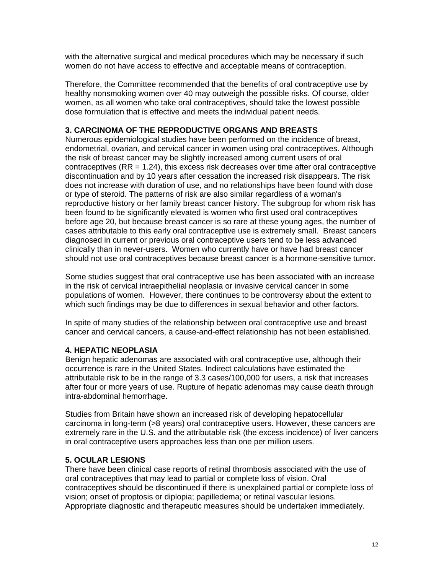with the alternative surgical and medical procedures which may be necessary if such women do not have access to effective and acceptable means of contraception.

Therefore, the Committee recommended that the benefits of oral contraceptive use by healthy nonsmoking women over 40 may outweigh the possible risks. Of course, older women, as all women who take oral contraceptives, should take the lowest possible dose formulation that is effective and meets the individual patient needs.

## **3. CARCINOMA OF THE REPRODUCTIVE ORGANS AND BREASTS**

Numerous epidemiological studies have been performed on the incidence of breast, endometrial, ovarian, and cervical cancer in women using oral contraceptives. Although the risk of breast cancer may be slightly increased among current users of oral contraceptives (RR = 1.24), this excess risk decreases over time after oral contraceptive discontinuation and by 10 years after cessation the increased risk disappears. The risk does not increase with duration of use, and no relationships have been found with dose or type of steroid. The patterns of risk are also similar regardless of a woman's reproductive history or her family breast cancer history. The subgroup for whom risk has been found to be significantly elevated is women who first used oral contraceptives before age 20, but because breast cancer is so rare at these young ages, the number of cases attributable to this early oral contraceptive use is extremely small. Breast cancers diagnosed in current or previous oral contraceptive users tend to be less advanced clinically than in never-users. Women who currently have or have had breast cancer should not use oral contraceptives because breast cancer is a hormone-sensitive tumor.

Some studies suggest that oral contraceptive use has been associated with an increase in the risk of cervical intraepithelial neoplasia or invasive cervical cancer in some populations of women. However, there continues to be controversy about the extent to which such findings may be due to differences in sexual behavior and other factors.

In spite of many studies of the relationship between oral contraceptive use and breast cancer and cervical cancers, a cause-and-effect relationship has not been established.

# **4. HEPATIC NEOPLASIA**

Benign hepatic adenomas are associated with oral contraceptive use, although their occurrence is rare in the United States. Indirect calculations have estimated the attributable risk to be in the range of 3.3 cases/100,000 for users, a risk that increases after four or more years of use. Rupture of hepatic adenomas may cause death through intra-abdominal hemorrhage.

Studies from Britain have shown an increased risk of developing hepatocellular carcinoma in long-term (>8 years) oral contraceptive users. However, these cancers are extremely rare in the U.S. and the attributable risk (the excess incidence) of liver cancers in oral contraceptive users approaches less than one per million users.

# **5. OCULAR LESIONS**

There have been clinical case reports of retinal thrombosis associated with the use of oral contraceptives that may lead to partial or complete loss of vision. Oral contraceptives should be discontinued if there is unexplained partial or complete loss of vision; onset of proptosis or diplopia; papilledema; or retinal vascular lesions. Appropriate diagnostic and therapeutic measures should be undertaken immediately.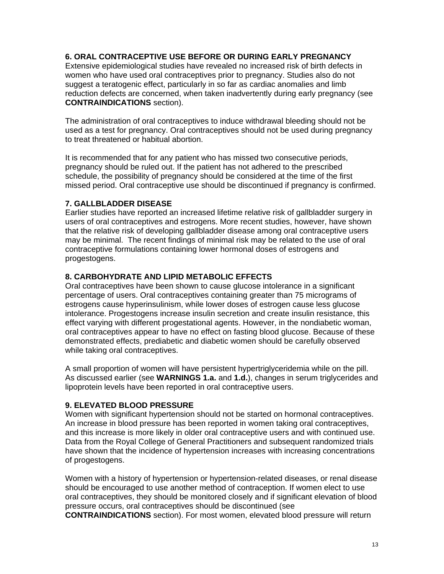## **6. ORAL CONTRACEPTIVE USE BEFORE OR DURING EARLY PREGNANCY**

Extensive epidemiological studies have revealed no increased risk of birth defects in women who have used oral contraceptives prior to pregnancy. Studies also do not suggest a teratogenic effect, particularly in so far as cardiac anomalies and limb reduction defects are concerned, when taken inadvertently during early pregnancy (see **CONTRAINDICATIONS** section).

The administration of oral contraceptives to induce withdrawal bleeding should not be used as a test for pregnancy. Oral contraceptives should not be used during pregnancy to treat threatened or habitual abortion.

It is recommended that for any patient who has missed two consecutive periods, pregnancy should be ruled out. If the patient has not adhered to the prescribed schedule, the possibility of pregnancy should be considered at the time of the first missed period. Oral contraceptive use should be discontinued if pregnancy is confirmed.

## **7. GALLBLADDER DISEASE**

Earlier studies have reported an increased lifetime relative risk of gallbladder surgery in users of oral contraceptives and estrogens. More recent studies, however, have shown that the relative risk of developing gallbladder disease among oral contraceptive users may be minimal. The recent findings of minimal risk may be related to the use of oral contraceptive formulations containing lower hormonal doses of estrogens and progestogens.

# **8. CARBOHYDRATE AND LIPID METABOLIC EFFECTS**

Oral contraceptives have been shown to cause glucose intolerance in a significant percentage of users. Oral contraceptives containing greater than 75 micrograms of estrogens cause hyperinsulinism, while lower doses of estrogen cause less glucose intolerance. Progestogens increase insulin secretion and create insulin resistance, this effect varying with different progestational agents. However, in the nondiabetic woman, oral contraceptives appear to have no effect on fasting blood glucose. Because of these demonstrated effects, prediabetic and diabetic women should be carefully observed while taking oral contraceptives.

A small proportion of women will have persistent hypertriglyceridemia while on the pill. As discussed earlier (see **WARNINGS 1.a.** and **1.d.**), changes in serum triglycerides and lipoprotein levels have been reported in oral contraceptive users.

#### **9. ELEVATED BLOOD PRESSURE**

Women with significant hypertension should not be started on hormonal contraceptives. An increase in blood pressure has been reported in women taking oral contraceptives, and this increase is more likely in older oral contraceptive users and with continued use. Data from the Royal College of General Practitioners and subsequent randomized trials have shown that the incidence of hypertension increases with increasing concentrations of progestogens.

Women with a history of hypertension or hypertension-related diseases, or renal disease should be encouraged to use another method of contraception. If women elect to use oral contraceptives, they should be monitored closely and if significant elevation of blood pressure occurs, oral contraceptives should be discontinued (see

**CONTRAINDICATIONS** section). For most women, elevated blood pressure will return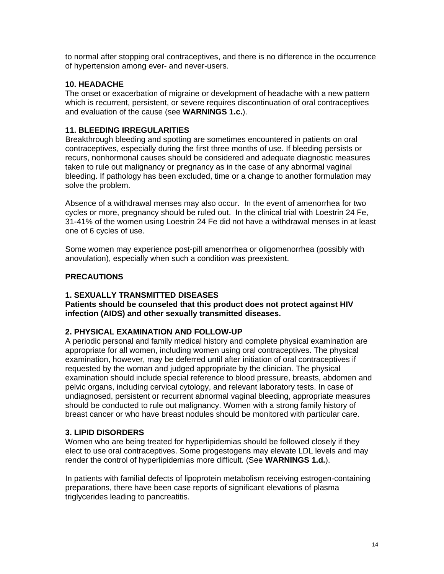to normal after stopping oral contraceptives, and there is no difference in the occurrence of hypertension among ever- and never-users.

## **10. HEADACHE**

The onset or exacerbation of migraine or development of headache with a new pattern which is recurrent, persistent, or severe requires discontinuation of oral contraceptives and evaluation of the cause (see **WARNINGS 1.c.**).

## **11. BLEEDING IRREGULARITIES**

Breakthrough bleeding and spotting are sometimes encountered in patients on oral contraceptives, especially during the first three months of use. If bleeding persists or recurs, nonhormonal causes should be considered and adequate diagnostic measures taken to rule out malignancy or pregnancy as in the case of any abnormal vaginal bleeding. If pathology has been excluded, time or a change to another formulation may solve the problem.

Absence of a withdrawal menses may also occur. In the event of amenorrhea for two cycles or more, pregnancy should be ruled out. In the clinical trial with Loestrin 24 Fe, 31-41% of the women using Loestrin 24 Fe did not have a withdrawal menses in at least one of 6 cycles of use.

Some women may experience post-pill amenorrhea or oligomenorrhea (possibly with anovulation), especially when such a condition was preexistent.

## **PRECAUTIONS**

# **1. SEXUALLY TRANSMITTED DISEASES**

**Patients should be counseled that this product does not protect against HIV infection (AIDS) and other sexually transmitted diseases.**

#### **2. PHYSICAL EXAMINATION AND FOLLOW-UP**

A periodic personal and family medical history and complete physical examination are appropriate for all women, including women using oral contraceptives. The physical examination, however, may be deferred until after initiation of oral contraceptives if requested by the woman and judged appropriate by the clinician. The physical examination should include special reference to blood pressure, breasts, abdomen and pelvic organs, including cervical cytology, and relevant laboratory tests. In case of undiagnosed, persistent or recurrent abnormal vaginal bleeding, appropriate measures should be conducted to rule out malignancy. Women with a strong family history of breast cancer or who have breast nodules should be monitored with particular care.

#### **3. LIPID DISORDERS**

Women who are being treated for hyperlipidemias should be followed closely if they elect to use oral contraceptives. Some progestogens may elevate LDL levels and may render the control of hyperlipidemias more difficult. (See **WARNINGS 1.d.**).

In patients with familial defects of lipoprotein metabolism receiving estrogen-containing preparations, there have been case reports of significant elevations of plasma triglycerides leading to pancreatitis.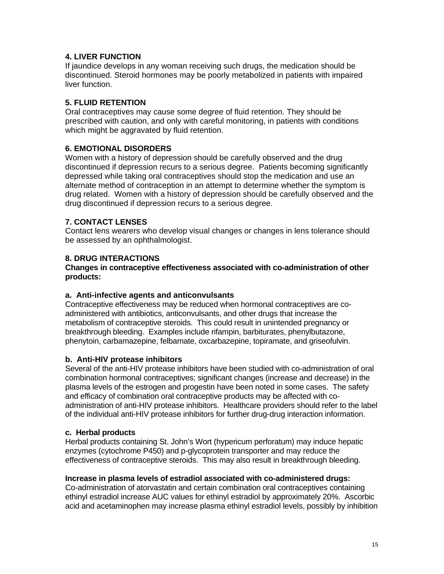# **4. LIVER FUNCTION**

If jaundice develops in any woman receiving such drugs, the medication should be discontinued. Steroid hormones may be poorly metabolized in patients with impaired liver function.

# **5. FLUID RETENTION**

Oral contraceptives may cause some degree of fluid retention. They should be prescribed with caution, and only with careful monitoring, in patients with conditions which might be aggravated by fluid retention.

# **6. EMOTIONAL DISORDERS**

Women with a history of depression should be carefully observed and the drug discontinued if depression recurs to a serious degree. Patients becoming significantly depressed while taking oral contraceptives should stop the medication and use an alternate method of contraception in an attempt to determine whether the symptom is drug related. Women with a history of depression should be carefully observed and the drug discontinued if depression recurs to a serious degree.

# **7. CONTACT LENSES**

Contact lens wearers who develop visual changes or changes in lens tolerance should be assessed by an ophthalmologist.

# **8. DRUG INTERACTIONS**

#### **Changes in contraceptive effectiveness associated with co-administration of other products:**

#### **a. Anti-infective agents and anticonvulsants**

Contraceptive effectiveness may be reduced when hormonal contraceptives are coadministered with antibiotics, anticonvulsants, and other drugs that increase the metabolism of contraceptive steroids. This could result in unintended pregnancy or breakthrough bleeding. Examples include rifampin, barbiturates, phenylbutazone, phenytoin, carbamazepine, felbamate, oxcarbazepine, topiramate, and griseofulvin.

#### **b. Anti-HIV protease inhibitors**

Several of the anti-HIV protease inhibitors have been studied with co-administration of oral combination hormonal contraceptives; significant changes (increase and decrease) in the plasma levels of the estrogen and progestin have been noted in some cases. The safety and efficacy of combination oral contraceptive products may be affected with coadministration of anti-HIV protease inhibitors. Healthcare providers should refer to the label of the individual anti-HIV protease inhibitors for further drug-drug interaction information.

#### **c. Herbal products**

Herbal products containing St. John's Wort (hypericum perforatum) may induce hepatic enzymes (cytochrome P450) and p-glycoprotein transporter and may reduce the effectiveness of contraceptive steroids. This may also result in breakthrough bleeding.

## **Increase in plasma levels of estradiol associated with co-administered drugs:**

Co-administration of atorvastatin and certain combination oral contraceptives containing ethinyl estradiol increase AUC values for ethinyl estradiol by approximately 20%. Ascorbic acid and acetaminophen may increase plasma ethinyl estradiol levels, possibly by inhibition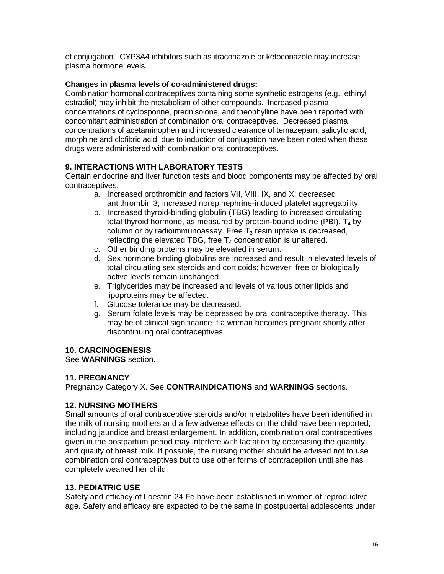of conjugation. CYP3A4 inhibitors such as itraconazole or ketoconazole may increase plasma hormone levels.

# **Changes in plasma levels of co-administered drugs:**

Combination hormonal contraceptives containing some synthetic estrogens (e.g., ethinyl estradiol) may inhibit the metabolism of other compounds. Increased plasma concentrations of cyclosporine, prednisolone, and theophylline have been reported with concomitant administration of combination oral contraceptives. Decreased plasma concentrations of acetaminophen and increased clearance of temazepam, salicylic acid, morphine and clofibric acid, due to induction of conjugation have been noted when these drugs were administered with combination oral contraceptives.

# **9. INTERACTIONS WITH LABORATORY TESTS**

Certain endocrine and liver function tests and blood components may be affected by oral contraceptives:

- a. Increased prothrombin and factors VII, VIII, IX, and X; decreased antithrombin 3; increased norepinephrine-induced platelet aggregability.
- b. Increased thyroid-binding globulin (TBG) leading to increased circulating total thyroid hormone, as measured by protein-bound iodine (PBI),  $T_4$  by column or by radioimmunoassay. Free  $T_3$  resin uptake is decreased, reflecting the elevated TBG, free  $T_4$  concentration is unaltered.
- c. Other binding proteins may be elevated in serum.
- d. Sex hormone binding globulins are increased and result in elevated levels of total circulating sex steroids and corticoids; however, free or biologically active levels remain unchanged.
- e. Triglycerides may be increased and levels of various other lipids and lipoproteins may be affected.
- f. Glucose tolerance may be decreased.
- g. Serum folate levels may be depressed by oral contraceptive therapy. This may be of clinical significance if a woman becomes pregnant shortly after discontinuing oral contraceptives.

# **10. CARCINOGENESIS**

See **WARNINGS** section.

# **11. PREGNANCY**

Pregnancy Category X. See **CONTRAINDICATIONS** and **WARNINGS** sections.

# **12. NURSING MOTHERS**

Small amounts of oral contraceptive steroids and/or metabolites have been identified in the milk of nursing mothers and a few adverse effects on the child have been reported, including jaundice and breast enlargement. In addition, combination oral contraceptives given in the postpartum period may interfere with lactation by decreasing the quantity and quality of breast milk. If possible, the nursing mother should be advised not to use combination oral contraceptives but to use other forms of contraception until she has completely weaned her child.

# **13. PEDIATRIC USE**

Safety and efficacy of Loestrin 24 Fe have been established in women of reproductive age. Safety and efficacy are expected to be the same in postpubertal adolescents under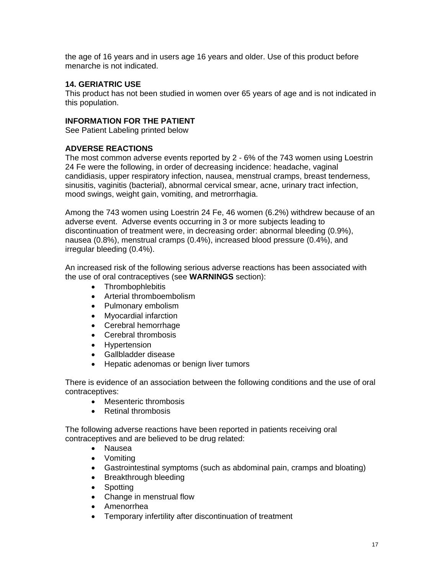the age of 16 years and in users age 16 years and older. Use of this product before menarche is not indicated.

## **14. GERIATRIC USE**

This product has not been studied in women over 65 years of age and is not indicated in this population.

## **INFORMATION FOR THE PATIENT**

See Patient Labeling printed below

## **ADVERSE REACTIONS**

The most common adverse events reported by 2 - 6% of the 743 women using Loestrin 24 Fe were the following, in order of decreasing incidence: headache, vaginal candidiasis, upper respiratory infection, nausea, menstrual cramps, breast tenderness, sinusitis, vaginitis (bacterial), abnormal cervical smear, acne, urinary tract infection, mood swings, weight gain, vomiting, and metrorrhagia.

Among the 743 women using Loestrin 24 Fe, 46 women (6.2%) withdrew because of an adverse event. Adverse events occurring in 3 or more subjects leading to discontinuation of treatment were, in decreasing order: abnormal bleeding (0.9%), nausea (0.8%), menstrual cramps (0.4%), increased blood pressure (0.4%), and irregular bleeding (0.4%).

An increased risk of the following serious adverse reactions has been associated with the use of oral contraceptives (see **WARNINGS** section):

- Thrombophlebitis
- Arterial thromboembolism
- Pulmonary embolism
- Myocardial infarction
- Cerebral hemorrhage
- Cerebral thrombosis
- Hypertension
- Gallbladder disease
- Hepatic adenomas or benign liver tumors

There is evidence of an association between the following conditions and the use of oral contraceptives:

- Mesenteric thrombosis
- Retinal thrombosis

The following adverse reactions have been reported in patients receiving oral contraceptives and are believed to be drug related:

- Nausea
- Vomiting
- Gastrointestinal symptoms (such as abdominal pain, cramps and bloating)
- Breakthrough bleeding
- Spotting
- Change in menstrual flow
- Amenorrhea
- Temporary infertility after discontinuation of treatment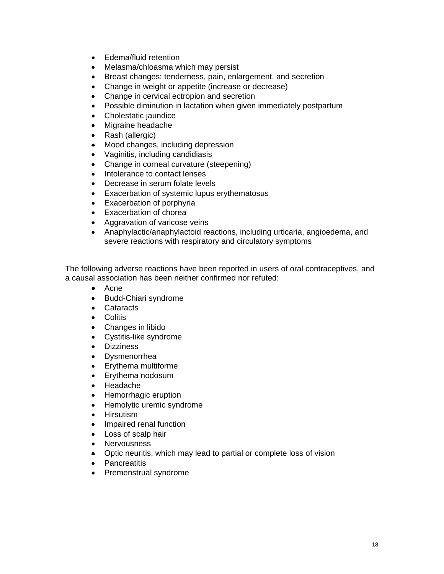- Edema/fluid retention
- Melasma/chloasma which may persist
- Breast changes: tenderness, pain, enlargement, and secretion
- Change in weight or appetite (increase or decrease)
- Change in cervical ectropion and secretion
- Possible diminution in lactation when given immediately postpartum
- Cholestatic jaundice
- Migraine headache
- Rash (allergic)
- Mood changes, including depression
- Vaginitis, including candidiasis
- Change in corneal curvature (steepening)
- Intolerance to contact lenses
- Decrease in serum folate levels
- Exacerbation of systemic lupus erythematosus
- Exacerbation of porphyria
- Exacerbation of chorea
- Aggravation of varicose veins
- Anaphylactic/anaphylactoid reactions, including urticaria, angioedema, and severe reactions with respiratory and circulatory symptoms

The following adverse reactions have been reported in users of oral contraceptives, and a causal association has been neither confirmed nor refuted:

- Acne
- Budd-Chiari syndrome
- Cataracts
- Colitis
- Changes in libido
- Cystitis-like syndrome
- Dizziness
- Dysmenorrhea
- Erythema multiforme
- Erythema nodosum
- Headache
- Hemorrhagic eruption
- Hemolytic uremic syndrome
- Hirsutism
- Impaired renal function
- Loss of scalp hair
- Nervousness
- Optic neuritis, which may lead to partial or complete loss of vision
- Pancreatitis
- Premenstrual syndrome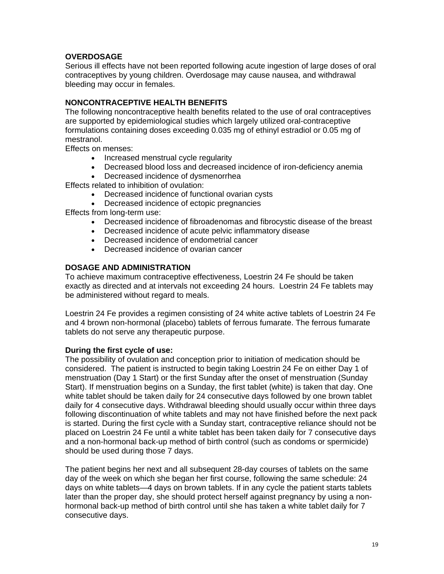# **OVERDOSAGE**

Serious ill effects have not been reported following acute ingestion of large doses of oral contraceptives by young children. Overdosage may cause nausea, and withdrawal bleeding may occur in females.

# **NONCONTRACEPTIVE HEALTH BENEFITS**

The following noncontraceptive health benefits related to the use of oral contraceptives are supported by epidemiological studies which largely utilized oral-contraceptive formulations containing doses exceeding 0.035 mg of ethinyl estradiol or 0.05 mg of mestranol.

Effects on menses:

- Increased menstrual cycle regularity
- Decreased blood loss and decreased incidence of iron-deficiency anemia
- Decreased incidence of dysmenorrhea

Effects related to inhibition of ovulation:

- Decreased incidence of functional ovarian cysts
- Decreased incidence of ectopic pregnancies

Effects from long-term use:

- Decreased incidence of fibroadenomas and fibrocystic disease of the breast
- Decreased incidence of acute pelvic inflammatory disease
- Decreased incidence of endometrial cancer
- Decreased incidence of ovarian cancer

## **DOSAGE AND ADMINISTRATION**

To achieve maximum contraceptive effectiveness, Loestrin 24 Fe should be taken exactly as directed and at intervals not exceeding 24 hours. Loestrin 24 Fe tablets may be administered without regard to meals.

Loestrin 24 Fe provides a regimen consisting of 24 white active tablets of Loestrin 24 Fe and 4 brown non-hormonal (placebo) tablets of ferrous fumarate. The ferrous fumarate tablets do not serve any therapeutic purpose.

#### **During the first cycle of use:**

The possibility of ovulation and conception prior to initiation of medication should be considered. The patient is instructed to begin taking Loestrin 24 Fe on either Day 1 of menstruation (Day 1 Start) or the first Sunday after the onset of menstruation (Sunday Start). If menstruation begins on a Sunday, the first tablet (white) is taken that day. One white tablet should be taken daily for 24 consecutive days followed by one brown tablet daily for 4 consecutive days. Withdrawal bleeding should usually occur within three days following discontinuation of white tablets and may not have finished before the next pack is started. During the first cycle with a Sunday start, contraceptive reliance should not be placed on Loestrin 24 Fe until a white tablet has been taken daily for 7 consecutive days and a non-hormonal back-up method of birth control (such as condoms or spermicide) should be used during those 7 days.

The patient begins her next and all subsequent 28-day courses of tablets on the same day of the week on which she began her first course, following the same schedule: 24 days on white tablets—4 days on brown tablets. If in any cycle the patient starts tablets later than the proper day, she should protect herself against pregnancy by using a nonhormonal back-up method of birth control until she has taken a white tablet daily for 7 consecutive days.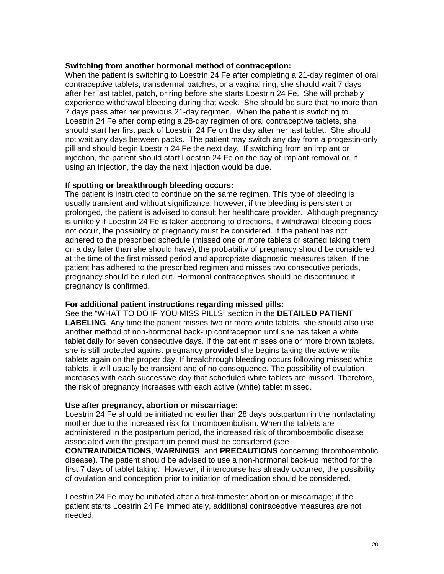#### **Switching from another hormonal method of contraception:**

When the patient is switching to Loestrin 24 Fe after completing a 21-day regimen of oral contraceptive tablets, transdermal patches, or a vaginal ring, she should wait 7 days after her last tablet, patch, or ring before she starts Loestrin 24 Fe. She will probably experience withdrawal bleeding during that week. She should be sure that no more than 7 days pass after her previous 21-day regimen. When the patient is switching to Loestrin 24 Fe after completing a 28-day regimen of oral contraceptive tablets, she should start her first pack of Loestrin 24 Fe on the day after her last tablet. She should not wait any days between packs. The patient may switch any day from a progestin-only pill and should begin Loestrin 24 Fe the next day. If switching from an implant or injection, the patient should start Loestrin 24 Fe on the day of implant removal or, if using an injection, the day the next injection would be due.

## **If spotting or breakthrough bleeding occurs:**

The patient is instructed to continue on the same regimen. This type of bleeding is usually transient and without significance; however, if the bleeding is persistent or prolonged, the patient is advised to consult her healthcare provider. Although pregnancy is unlikely if Loestrin 24 Fe is taken according to directions, if withdrawal bleeding does not occur, the possibility of pregnancy must be considered. If the patient has not adhered to the prescribed schedule (missed one or more tablets or started taking them on a day later than she should have), the probability of pregnancy should be considered at the time of the first missed period and appropriate diagnostic measures taken. If the patient has adhered to the prescribed regimen and misses two consecutive periods, pregnancy should be ruled out. Hormonal contraceptives should be discontinued if pregnancy is confirmed.

#### **For additional patient instructions regarding missed pills:**

See the "WHAT TO DO IF YOU MISS PILLS" section in the **DETAILED PATIENT LABELING**. Any time the patient misses two or more white tablets, she should also use another method of non-hormonal back-up contraception until she has taken a white tablet daily for seven consecutive days. If the patient misses one or more brown tablets, she is still protected against pregnancy **provided** she begins taking the active white tablets again on the proper day. If breakthrough bleeding occurs following missed white tablets, it will usually be transient and of no consequence. The possibility of ovulation increases with each successive day that scheduled white tablets are missed. Therefore, the risk of pregnancy increases with each active (white) tablet missed.

#### **Use after pregnancy, abortion or miscarriage:**

Loestrin 24 Fe should be initiated no earlier than 28 days postpartum in the nonlactating mother due to the increased risk for thromboembolism. When the tablets are administered in the postpartum period, the increased risk of thromboembolic disease associated with the postpartum period must be considered (see

**CONTRAINDICATIONS**, **WARNINGS**, and **PRECAUTIONS** concerning thromboembolic disease). The patient should be advised to use a non-hormonal back-up method for the first 7 days of tablet taking. However, if intercourse has already occurred, the possibility of ovulation and conception prior to initiation of medication should be considered.

Loestrin 24 Fe may be initiated after a first-trimester abortion or miscarriage; if the patient starts Loestrin 24 Fe immediately, additional contraceptive measures are not needed.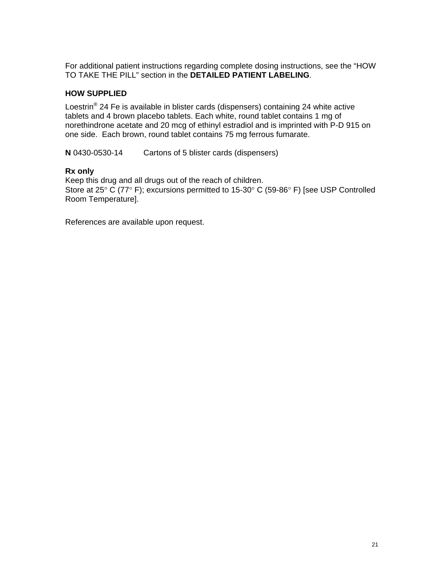For additional patient instructions regarding complete dosing instructions, see the "HOW TO TAKE THE PILL" section in the **DETAILED PATIENT LABELING**.

# **HOW SUPPLIED**

Loestrin® 24 Fe is available in blister cards (dispensers) containing 24 white active tablets and 4 brown placebo tablets. Each white, round tablet contains 1 mg of norethindrone acetate and 20 mcg of ethinyl estradiol and is imprinted with P-D 915 on one side. Each brown, round tablet contains 75 mg ferrous fumarate.

**N** 0430-0530-14 Cartons of 5 blister cards (dispensers)

## **Rx only**

Keep this drug and all drugs out of the reach of children. Store at 25° C (77° F); excursions permitted to 15-30° C (59-86° F) [see USP Controlled Room Temperature].

References are available upon request.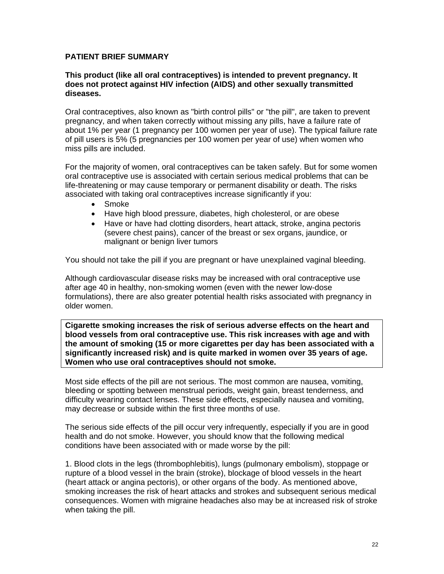# **PATIENT BRIEF SUMMARY**

#### **This product (like all oral contraceptives) is intended to prevent pregnancy. It does not protect against HIV infection (AIDS) and other sexually transmitted diseases.**

Oral contraceptives, also known as "birth control pills" or "the pill", are taken to prevent pregnancy, and when taken correctly without missing any pills, have a failure rate of about 1% per year (1 pregnancy per 100 women per year of use). The typical failure rate of pill users is 5% (5 pregnancies per 100 women per year of use) when women who miss pills are included.

For the majority of women, oral contraceptives can be taken safely. But for some women oral contraceptive use is associated with certain serious medical problems that can be life-threatening or may cause temporary or permanent disability or death. The risks associated with taking oral contraceptives increase significantly if you:

- Smoke
- Have high blood pressure, diabetes, high cholesterol, or are obese
- Have or have had clotting disorders, heart attack, stroke, angina pectoris (severe chest pains), cancer of the breast or sex organs, jaundice, or malignant or benign liver tumors

You should not take the pill if you are pregnant or have unexplained vaginal bleeding.

Although cardiovascular disease risks may be increased with oral contraceptive use after age 40 in healthy, non-smoking women (even with the newer low-dose formulations), there are also greater potential health risks associated with pregnancy in older women.

**Cigarette smoking increases the risk of serious adverse effects on the heart and blood vessels from oral contraceptive use. This risk increases with age and with the amount of smoking (15 or more cigarettes per day has been associated with a significantly increased risk) and is quite marked in women over 35 years of age. Women who use oral contraceptives should not smoke.** 

Most side effects of the pill are not serious. The most common are nausea, vomiting, bleeding or spotting between menstrual periods, weight gain, breast tenderness, and difficulty wearing contact lenses. These side effects, especially nausea and vomiting, may decrease or subside within the first three months of use.

The serious side effects of the pill occur very infrequently, especially if you are in good health and do not smoke. However, you should know that the following medical conditions have been associated with or made worse by the pill:

1. Blood clots in the legs (thrombophlebitis), lungs (pulmonary embolism), stoppage or rupture of a blood vessel in the brain (stroke), blockage of blood vessels in the heart (heart attack or angina pectoris), or other organs of the body. As mentioned above, smoking increases the risk of heart attacks and strokes and subsequent serious medical consequences. Women with migraine headaches also may be at increased risk of stroke when taking the pill.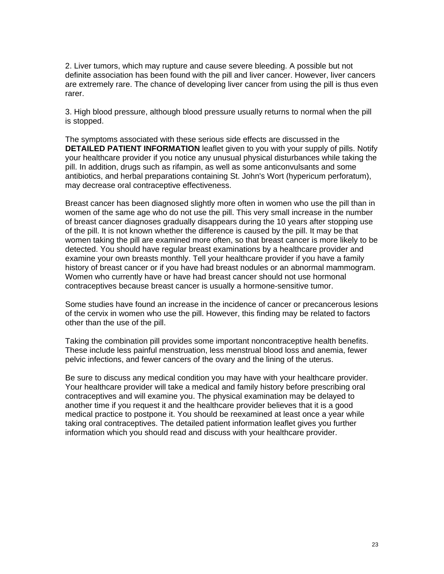2. Liver tumors, which may rupture and cause severe bleeding. A possible but not definite association has been found with the pill and liver cancer. However, liver cancers are extremely rare. The chance of developing liver cancer from using the pill is thus even rarer.

3. High blood pressure, although blood pressure usually returns to normal when the pill is stopped.

The symptoms associated with these serious side effects are discussed in the **DETAILED PATIENT INFORMATION** leaflet given to you with your supply of pills. Notify your healthcare provider if you notice any unusual physical disturbances while taking the pill. In addition, drugs such as rifampin, as well as some anticonvulsants and some antibiotics, and herbal preparations containing St. John's Wort (hypericum perforatum), may decrease oral contraceptive effectiveness.

Breast cancer has been diagnosed slightly more often in women who use the pill than in women of the same age who do not use the pill. This very small increase in the number of breast cancer diagnoses gradually disappears during the 10 years after stopping use of the pill. It is not known whether the difference is caused by the pill. It may be that women taking the pill are examined more often, so that breast cancer is more likely to be detected. You should have regular breast examinations by a healthcare provider and examine your own breasts monthly. Tell your healthcare provider if you have a family history of breast cancer or if you have had breast nodules or an abnormal mammogram. Women who currently have or have had breast cancer should not use hormonal contraceptives because breast cancer is usually a hormone-sensitive tumor.

Some studies have found an increase in the incidence of cancer or precancerous lesions of the cervix in women who use the pill. However, this finding may be related to factors other than the use of the pill.

Taking the combination pill provides some important noncontraceptive health benefits. These include less painful menstruation, less menstrual blood loss and anemia, fewer pelvic infections, and fewer cancers of the ovary and the lining of the uterus.

Be sure to discuss any medical condition you may have with your healthcare provider. Your healthcare provider will take a medical and family history before prescribing oral contraceptives and will examine you. The physical examination may be delayed to another time if you request it and the healthcare provider believes that it is a good medical practice to postpone it. You should be reexamined at least once a year while taking oral contraceptives. The detailed patient information leaflet gives you further information which you should read and discuss with your healthcare provider.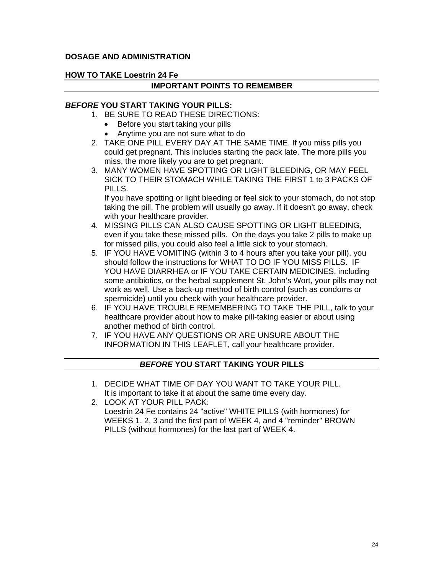# **DOSAGE AND ADMINISTRATION**

# **HOW TO TAKE Loestrin 24 Fe**

# **IMPORTANT POINTS TO REMEMBER**

# *BEFORE* **YOU START TAKING YOUR PILLS:**

- 1. BE SURE TO READ THESE DIRECTIONS:
	- Before you start taking your pills
	- Anytime you are not sure what to do
- 2. TAKE ONE PILL EVERY DAY AT THE SAME TIME. If you miss pills you could get pregnant. This includes starting the pack late. The more pills you miss, the more likely you are to get pregnant.
- 3. MANY WOMEN HAVE SPOTTING OR LIGHT BLEEDING, OR MAY FEEL SICK TO THEIR STOMACH WHILE TAKING THE FIRST 1 to 3 PACKS OF PILLS.

If you have spotting or light bleeding or feel sick to your stomach, do not stop taking the pill. The problem will usually go away. If it doesn't go away, check with your healthcare provider.

- 4. MISSING PILLS CAN ALSO CAUSE SPOTTING OR LIGHT BLEEDING, even if you take these missed pills. On the days you take 2 pills to make up for missed pills, you could also feel a little sick to your stomach.
- 5. IF YOU HAVE VOMITING (within 3 to 4 hours after you take your pill), you should follow the instructions for WHAT TO DO IF YOU MISS PILLS. IF YOU HAVE DIARRHEA or IF YOU TAKE CERTAIN MEDICINES, including some antibiotics, or the herbal supplement St. John's Wort, your pills may not work as well. Use a back-up method of birth control (such as condoms or spermicide) until you check with your healthcare provider.
- 6. IF YOU HAVE TROUBLE REMEMBERING TO TAKE THE PILL, talk to your healthcare provider about how to make pill-taking easier or about using another method of birth control.
- 7. IF YOU HAVE ANY QUESTIONS OR ARE UNSURE ABOUT THE INFORMATION IN THIS LEAFLET, call your healthcare provider.

# *BEFORE* **YOU START TAKING YOUR PILLS**

- 1. DECIDE WHAT TIME OF DAY YOU WANT TO TAKE YOUR PILL. It is important to take it at about the same time every day.
- 2. LOOK AT YOUR PILL PACK: Loestrin 24 Fe contains 24 "active" WHITE PILLS (with hormones) for WEEKS 1, 2, 3 and the first part of WEEK 4, and 4 "reminder" BROWN PILLS (without hormones) for the last part of WEEK 4.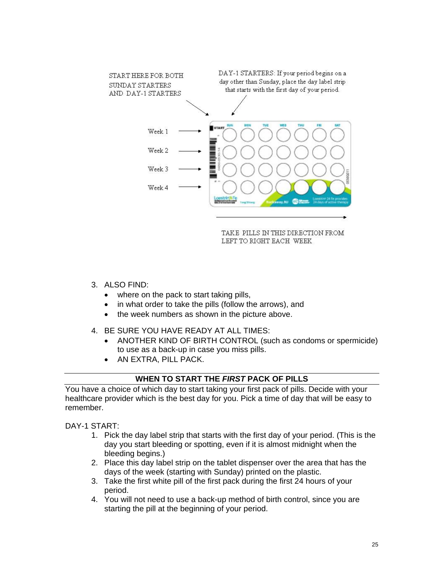

TAKE PILLS IN THIS DIRECTION FROM LEFT TO RIGHT EACH WEEK

- 3. ALSO FIND:
	- where on the pack to start taking pills,
	- in what order to take the pills (follow the arrows), and
	- the week numbers as shown in the picture above.
- 4. BE SURE YOU HAVE READY AT ALL TIMES:
	- ANOTHER KIND OF BIRTH CONTROL (such as condoms or spermicide) to use as a back-up in case you miss pills.
	- AN EXTRA, PILL PACK.

# **WHEN TO START THE** *FIRST* **PACK OF PILLS**

You have a choice of which day to start taking your first pack of pills. Decide with your healthcare provider which is the best day for you. Pick a time of day that will be easy to remember.

DAY-1 START:

- 1. Pick the day label strip that starts with the first day of your period. (This is the day you start bleeding or spotting, even if it is almost midnight when the bleeding begins.)
- 2. Place this day label strip on the tablet dispenser over the area that has the days of the week (starting with Sunday) printed on the plastic.
- 3. Take the first white pill of the first pack during the first 24 hours of your period.
- 4. You will not need to use a back-up method of birth control, since you are starting the pill at the beginning of your period.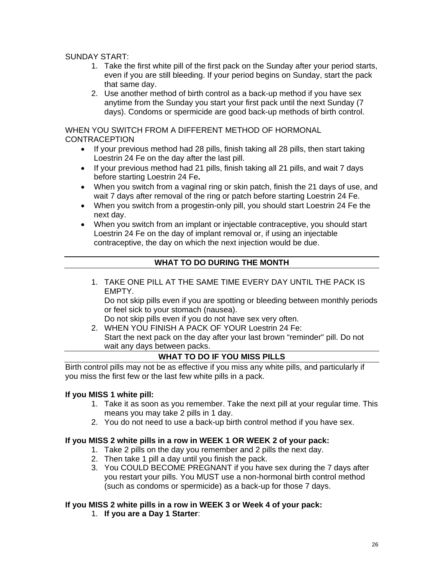# SUNDAY START:

- 1. Take the first white pill of the first pack on the Sunday after your period starts, even if you are still bleeding. If your period begins on Sunday, start the pack that same day.
- 2. Use another method of birth control as a back-up method if you have sex anytime from the Sunday you start your first pack until the next Sunday (7 days). Condoms or spermicide are good back-up methods of birth control.

## WHEN YOU SWITCH FROM A DIFFERENT METHOD OF HORMONAL CONTRACEPTION

- If your previous method had 28 pills, finish taking all 28 pills, then start taking Loestrin 24 Fe on the day after the last pill.
- If your previous method had 21 pills, finish taking all 21 pills, and wait 7 days before starting Loestrin 24 Fe**.**
- When you switch from a vaginal ring or skin patch, finish the 21 days of use, and wait 7 days after removal of the ring or patch before starting Loestrin 24 Fe.
- When you switch from a progestin-only pill, you should start Loestrin 24 Fe the next day.
- When you switch from an implant or injectable contraceptive, you should start Loestrin 24 Fe on the day of implant removal or, if using an injectable contraceptive, the day on which the next injection would be due.

# **WHAT TO DO DURING THE MONTH**

1. TAKE ONE PILL AT THE SAME TIME EVERY DAY UNTIL THE PACK IS EMPTY.

Do not skip pills even if you are spotting or bleeding between monthly periods or feel sick to your stomach (nausea).

Do not skip pills even if you do not have sex very often.

2. WHEN YOU FINISH A PACK OF YOUR Loestrin 24 Fe: Start the next pack on the day after your last brown "reminder" pill. Do not wait any days between packs.

# **WHAT TO DO IF YOU MISS PILLS**

Birth control pills may not be as effective if you miss any white pills, and particularly if you miss the first few or the last few white pills in a pack.

# **If you MISS 1 white pill:**

- 1. Take it as soon as you remember. Take the next pill at your regular time. This means you may take 2 pills in 1 day.
- 2. You do not need to use a back-up birth control method if you have sex.

# **If you MISS 2 white pills in a row in WEEK 1 OR WEEK 2 of your pack:**

- 1. Take 2 pills on the day you remember and 2 pills the next day.
- 2. Then take 1 pill a day until you finish the pack.
- 3. You COULD BECOME PREGNANT if you have sex during the 7 days after you restart your pills. You MUST use a non-hormonal birth control method (such as condoms or spermicide) as a back-up for those 7 days.

# **If you MISS 2 white pills in a row in WEEK 3 or Week 4 of your pack:**

1. **If you are a Day 1 Starter**: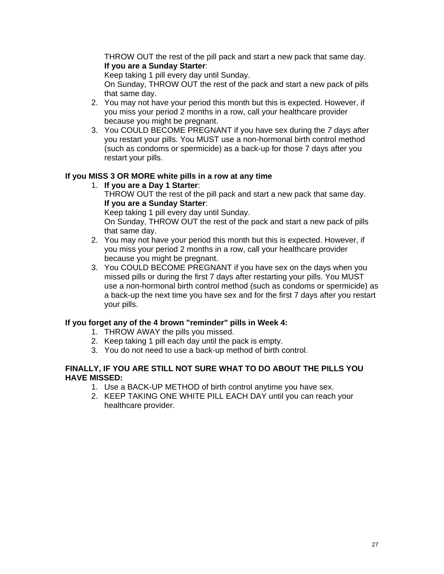THROW OUT the rest of the pill pack and start a new pack that same day. **If you are a Sunday Starter**:

Keep taking 1 pill every day until Sunday.

On Sunday, THROW OUT the rest of the pack and start a new pack of pills that same day.

- 2. You may not have your period this month but this is expected. However, if you miss your period 2 months in a row, call your healthcare provider because you might be pregnant.
- 3. You COULD BECOME PREGNANT if you have sex during the *7 days* after you restart your pills. You MUST use a non-hormonal birth control method (such as condoms or spermicide) as a back-up for those 7 days after you restart your pills.

# **If you MISS 3 OR MORE white pills in a row at any time**

1. **If you are a Day 1 Starter**:

THROW OUT the rest of the pill pack and start a new pack that same day. **If you are a Sunday Starter**:

Keep taking 1 pill every day until Sunday.

On Sunday, THROW OUT the rest of the pack and start a new pack of pills that same day.

- 2. You may not have your period this month but this is expected. However, if you miss your period 2 months in a row, call your healthcare provider because you might be pregnant.
- 3. You COULD BECOME PREGNANT if you have sex on the days when you missed pills or during the first 7 days after restarting your pills. You MUST use a non-hormonal birth control method (such as condoms or spermicide) as a back-up the next time you have sex and for the first 7 days after you restart your pills.

# **If you forget any of the 4 brown "reminder" pills in Week 4:**

- 1. THROW AWAY the pills you missed.
- 2. Keep taking 1 pill each day until the pack is empty.
- 3. You do not need to use a back-up method of birth control.

# **FINALLY, IF YOU ARE STILL NOT SURE WHAT TO DO ABOUT THE PILLS YOU HAVE MISSED:**

- 1. Use a BACK-UP METHOD of birth control anytime you have sex.
- 2. KEEP TAKING ONE WHITE PILL EACH DAY until you can reach your healthcare provider.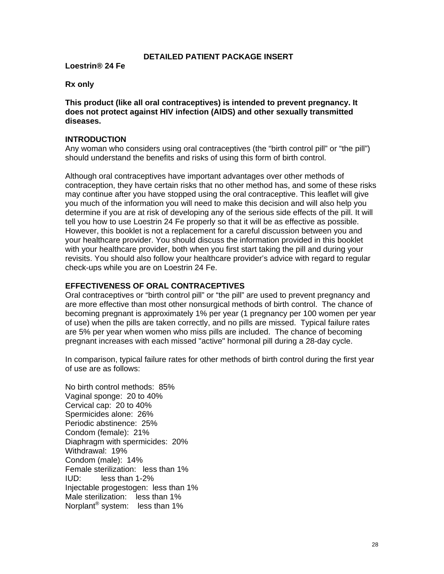# **DETAILED PATIENT PACKAGE INSERT**

**Loestrin® 24 Fe** 

#### **Rx only**

**This product (like all oral contraceptives) is intended to prevent pregnancy. It does not protect against HIV infection (AIDS) and other sexually transmitted diseases.** 

#### **INTRODUCTION**

Any woman who considers using oral contraceptives (the "birth control pill" or "the pill") should understand the benefits and risks of using this form of birth control.

Although oral contraceptives have important advantages over other methods of contraception, they have certain risks that no other method has, and some of these risks may continue after you have stopped using the oral contraceptive. This leaflet will give you much of the information you will need to make this decision and will also help you determine if you are at risk of developing any of the serious side effects of the pill. It will tell you how to use Loestrin 24 Fe properly so that it will be as effective as possible. However, this booklet is not a replacement for a careful discussion between you and your healthcare provider. You should discuss the information provided in this booklet with your healthcare provider, both when you first start taking the pill and during your revisits. You should also follow your healthcare provider's advice with regard to regular check-ups while you are on Loestrin 24 Fe.

#### **EFFECTIVENESS OF ORAL CONTRACEPTIVES**

Oral contraceptives or "birth control pill" or "the pill" are used to prevent pregnancy and are more effective than most other nonsurgical methods of birth control. The chance of becoming pregnant is approximately 1% per year (1 pregnancy per 100 women per year of use) when the pills are taken correctly, and no pills are missed. Typical failure rates are 5% per year when women who miss pills are included. The chance of becoming pregnant increases with each missed "active" hormonal pill during a 28-day cycle.

In comparison, typical failure rates for other methods of birth control during the first year of use are as follows:

No birth control methods: 85% Vaginal sponge: 20 to 40% Cervical cap: 20 to 40% Spermicides alone: 26% Periodic abstinence: 25% Condom (female): 21% Diaphragm with spermicides: 20% Withdrawal: 19% Condom (male): 14% Female sterilization: less than 1% IUD: less than 1-2% Injectable progestogen: less than 1% Male sterilization: less than 1% Norplant® system: less than 1%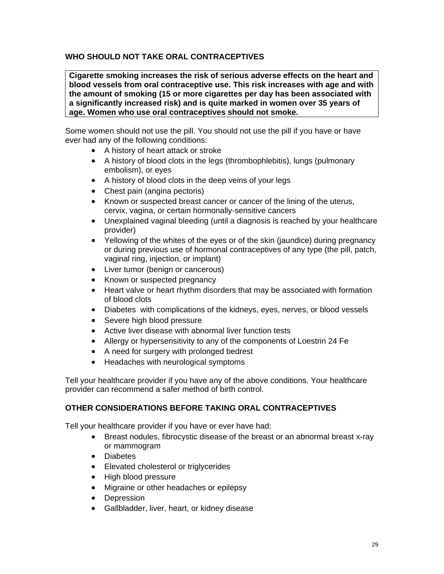# **WHO SHOULD NOT TAKE ORAL CONTRACEPTIVES**

**Cigarette smoking increases the risk of serious adverse effects on the heart and blood vessels from oral contraceptive use. This risk increases with age and with the amount of smoking (15 or more cigarettes per day has been associated with a significantly increased risk) and is quite marked in women over 35 years of age. Women who use oral contraceptives should not smoke.** 

Some women should not use the pill. You should not use the pill if you have or have ever had any of the following conditions:

- A history of heart attack or stroke
- A history of blood clots in the legs (thrombophlebitis), lungs (pulmonary embolism), or eyes
- A history of blood clots in the deep veins of your legs
- Chest pain (angina pectoris)
- Known or suspected breast cancer or cancer of the lining of the uterus, cervix, vagina, or certain hormonally-sensitive cancers
- Unexplained vaginal bleeding (until a diagnosis is reached by your healthcare provider)
- Yellowing of the whites of the eyes or of the skin (jaundice) during pregnancy or during previous use of hormonal contraceptives of any type (the pill, patch, vaginal ring, injection, or implant)
- Liver tumor (benign or cancerous)
- Known or suspected pregnancy
- Heart valve or heart rhythm disorders that may be associated with formation of blood clots
- Diabetes with complications of the kidneys, eyes, nerves, or blood vessels
- Severe high blood pressure
- Active liver disease with abnormal liver function tests
- Allergy or hypersensitivity to any of the components of Loestrin 24 Fe
- A need for surgery with prolonged bedrest
- Headaches with neurological symptoms

Tell your healthcare provider if you have any of the above conditions. Your healthcare provider can recommend a safer method of birth control.

# **OTHER CONSIDERATIONS BEFORE TAKING ORAL CONTRACEPTIVES**

Tell your healthcare provider if you have or ever have had:

- Breast nodules, fibrocystic disease of the breast or an abnormal breast x-ray or mammogram
- Diabetes
- Elevated cholesterol or triglycerides
- High blood pressure
- Migraine or other headaches or epilepsy
- Depression
- Gallbladder, liver, heart, or kidney disease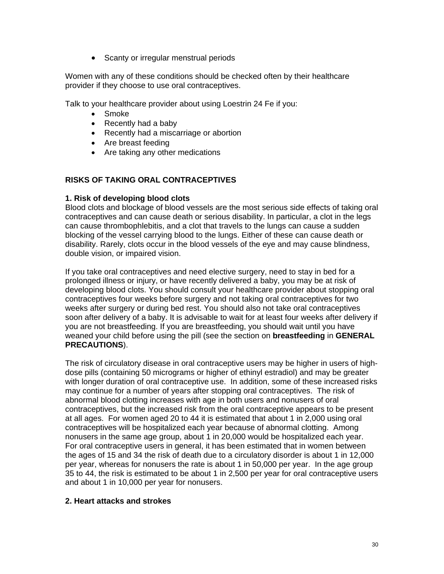• Scanty or irregular menstrual periods

Women with any of these conditions should be checked often by their healthcare provider if they choose to use oral contraceptives.

Talk to your healthcare provider about using Loestrin 24 Fe if you:

- Smoke
- Recently had a baby
- Recently had a miscarriage or abortion
- Are breast feeding
- Are taking any other medications

# **RISKS OF TAKING ORAL CONTRACEPTIVES**

## **1. Risk of developing blood clots**

Blood clots and blockage of blood vessels are the most serious side effects of taking oral contraceptives and can cause death or serious disability. In particular, a clot in the legs can cause thrombophlebitis, and a clot that travels to the lungs can cause a sudden blocking of the vessel carrying blood to the lungs. Either of these can cause death or disability. Rarely, clots occur in the blood vessels of the eye and may cause blindness, double vision, or impaired vision.

If you take oral contraceptives and need elective surgery, need to stay in bed for a prolonged illness or injury, or have recently delivered a baby, you may be at risk of developing blood clots. You should consult your healthcare provider about stopping oral contraceptives four weeks before surgery and not taking oral contraceptives for two weeks after surgery or during bed rest. You should also not take oral contraceptives soon after delivery of a baby. It is advisable to wait for at least four weeks after delivery if you are not breastfeeding. If you are breastfeeding, you should wait until you have weaned your child before using the pill (see the section on **breastfeeding** in **GENERAL PRECAUTIONS**).

The risk of circulatory disease in oral contraceptive users may be higher in users of highdose pills (containing 50 micrograms or higher of ethinyl estradiol) and may be greater with longer duration of oral contraceptive use. In addition, some of these increased risks may continue for a number of years after stopping oral contraceptives. The risk of abnormal blood clotting increases with age in both users and nonusers of oral contraceptives, but the increased risk from the oral contraceptive appears to be present at all ages. For women aged 20 to 44 it is estimated that about 1 in 2,000 using oral contraceptives will be hospitalized each year because of abnormal clotting. Among nonusers in the same age group, about 1 in 20,000 would be hospitalized each year. For oral contraceptive users in general, it has been estimated that in women between the ages of 15 and 34 the risk of death due to a circulatory disorder is about 1 in 12,000 per year, whereas for nonusers the rate is about 1 in 50,000 per year. In the age group 35 to 44, the risk is estimated to be about 1 in 2,500 per year for oral contraceptive users and about 1 in 10,000 per year for nonusers.

# **2. Heart attacks and strokes**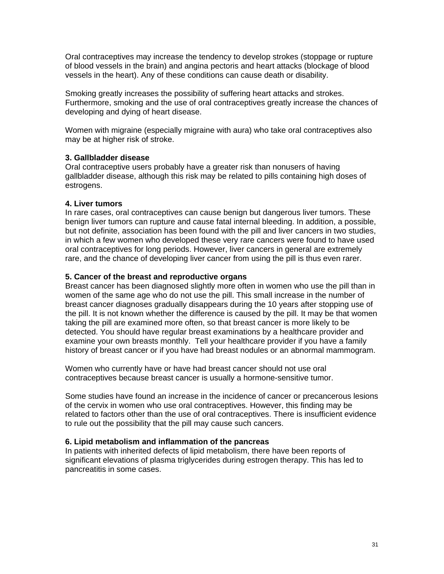Oral contraceptives may increase the tendency to develop strokes (stoppage or rupture of blood vessels in the brain) and angina pectoris and heart attacks (blockage of blood vessels in the heart). Any of these conditions can cause death or disability.

Smoking greatly increases the possibility of suffering heart attacks and strokes. Furthermore, smoking and the use of oral contraceptives greatly increase the chances of developing and dying of heart disease.

Women with migraine (especially migraine with aura) who take oral contraceptives also may be at higher risk of stroke.

## **3. Gallbladder disease**

Oral contraceptive users probably have a greater risk than nonusers of having gallbladder disease, although this risk may be related to pills containing high doses of estrogens.

# **4. Liver tumors**

In rare cases, oral contraceptives can cause benign but dangerous liver tumors. These benign liver tumors can rupture and cause fatal internal bleeding. In addition, a possible, but not definite, association has been found with the pill and liver cancers in two studies, in which a few women who developed these very rare cancers were found to have used oral contraceptives for long periods. However, liver cancers in general are extremely rare, and the chance of developing liver cancer from using the pill is thus even rarer.

## **5. Cancer of the breast and reproductive organs**

Breast cancer has been diagnosed slightly more often in women who use the pill than in women of the same age who do not use the pill. This small increase in the number of breast cancer diagnoses gradually disappears during the 10 years after stopping use of the pill. It is not known whether the difference is caused by the pill. It may be that women taking the pill are examined more often, so that breast cancer is more likely to be detected. You should have regular breast examinations by a healthcare provider and examine your own breasts monthly. Tell your healthcare provider if you have a family history of breast cancer or if you have had breast nodules or an abnormal mammogram.

Women who currently have or have had breast cancer should not use oral contraceptives because breast cancer is usually a hormone-sensitive tumor.

Some studies have found an increase in the incidence of cancer or precancerous lesions of the cervix in women who use oral contraceptives. However, this finding may be related to factors other than the use of oral contraceptives. There is insufficient evidence to rule out the possibility that the pill may cause such cancers.

#### **6. Lipid metabolism and inflammation of the pancreas**

In patients with inherited defects of lipid metabolism, there have been reports of significant elevations of plasma triglycerides during estrogen therapy. This has led to pancreatitis in some cases.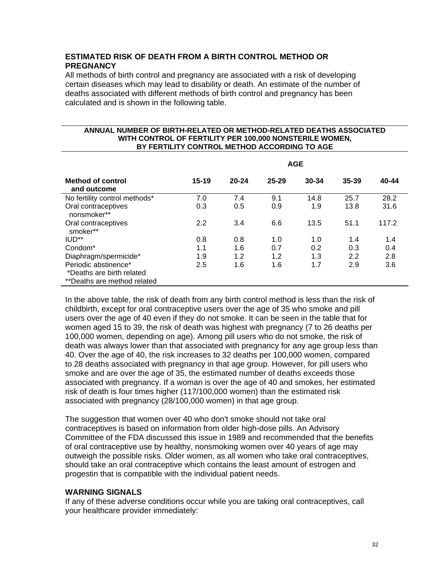# **ESTIMATED RISK OF DEATH FROM A BIRTH CONTROL METHOD OR PREGNANCY**

All methods of birth control and pregnancy are associated with a risk of developing certain diseases which may lead to disability or death. An estimate of the number of deaths associated with different methods of birth control and pregnancy has been calculated and is shown in the following table.

| PT LEITIEN TOON INGE METHOD AUGUNDING TO AGE |           |            |           |       |           |       |
|----------------------------------------------|-----------|------------|-----------|-------|-----------|-------|
|                                              |           | <b>AGE</b> |           |       |           |       |
| <b>Method of control</b><br>and outcome      | $15 - 19$ | $20 - 24$  | $25 - 29$ | 30-34 | $35 - 39$ | 40-44 |
| No fertility control methods*                | 7.0       | 7.4        | 9.1       | 14.8  | 25.7      | 28.2  |
| Oral contraceptives<br>nonsmoker**           | 0.3       | 0.5        | 0.9       | 1.9   | 13.8      | 31.6  |
| Oral contraceptives<br>smoker**              | 2.2       | 3.4        | 6.6       | 13.5  | 51.1      | 117.2 |
| $IUD**$                                      | 0.8       | 0.8        | 1.0       | 1.0   | 1.4       | 1.4   |
| Condom <sup>*</sup>                          | 1.1       | 1.6        | 0.7       | 0.2   | 0.3       | 0.4   |
| Diaphragm/spermicide*                        | 1.9       | 1.2        | 1.2       | 1.3   | 2.2       | 2.8   |
| Periodic abstinence*                         | 2.5       | 1.6        | 1.6       | 1.7   | 2.9       | 3.6   |
| *Deaths are birth related                    |           |            |           |       |           |       |
| **Deaths are method related                  |           |            |           |       |           |       |

#### **ANNUAL NUMBER OF BIRTH-RELATED OR METHOD-RELATED DEATHS ASSOCIATED WITH CONTROL OF FERTILITY PER 100,000 NONSTERILE WOMEN, BY FERTILITY CONTROL METHOD ACCORDING TO AGE**

In the above table, the risk of death from any birth control method is less than the risk of childbirth, except for oral contraceptive users over the age of 35 who smoke and pill users over the age of 40 even if they do not smoke. It can be seen in the table that for women aged 15 to 39, the risk of death was highest with pregnancy (7 to 26 deaths per 100,000 women, depending on age). Among pill users who do not smoke, the risk of death was always lower than that associated with pregnancy for any age group less than 40. Over the age of 40, the risk increases to 32 deaths per 100,000 women, compared to 28 deaths associated with pregnancy in that age group. However, for pill users who smoke and are over the age of 35, the estimated number of deaths exceeds those associated with pregnancy. If a woman is over the age of 40 and smokes, her estimated risk of death is four times higher (117/100,000 women) than the estimated risk associated with pregnancy (28/100,000 women) in that age group.

The suggestion that women over 40 who don't smoke should not take oral contraceptives is based on information from older high-dose pills. An Advisory Committee of the FDA discussed this issue in 1989 and recommended that the benefits of oral contraceptive use by healthy, nonsmoking women over 40 years of age may outweigh the possible risks. Older women, as all women who take oral contraceptives, should take an oral contraceptive which contains the least amount of estrogen and progestin that is compatible with the individual patient needs.

# **WARNING SIGNALS**

If any of these adverse conditions occur while you are taking oral contraceptives, call your healthcare provider immediately: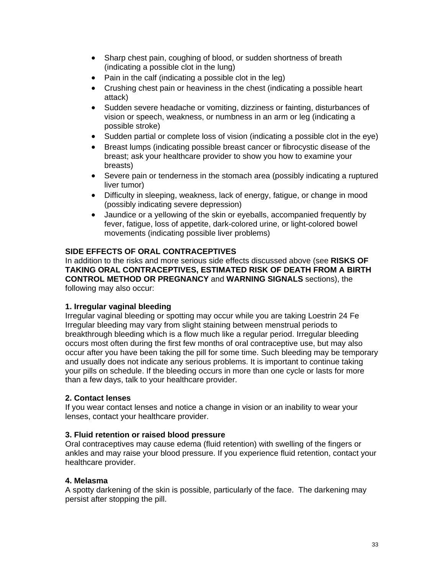- Sharp chest pain, coughing of blood, or sudden shortness of breath (indicating a possible clot in the lung)
- Pain in the calf (indicating a possible clot in the leg)
- Crushing chest pain or heaviness in the chest (indicating a possible heart attack)
- Sudden severe headache or vomiting, dizziness or fainting, disturbances of vision or speech, weakness, or numbness in an arm or leg (indicating a possible stroke)
- Sudden partial or complete loss of vision (indicating a possible clot in the eye)
- Breast lumps (indicating possible breast cancer or fibrocystic disease of the breast; ask your healthcare provider to show you how to examine your breasts)
- Severe pain or tenderness in the stomach area (possibly indicating a ruptured liver tumor)
- Difficulty in sleeping, weakness, lack of energy, fatigue, or change in mood (possibly indicating severe depression)
- Jaundice or a yellowing of the skin or eyeballs, accompanied frequently by fever, fatigue, loss of appetite, dark-colored urine, or light-colored bowel movements (indicating possible liver problems)

# **SIDE EFFECTS OF ORAL CONTRACEPTIVES**

In addition to the risks and more serious side effects discussed above (see **RISKS OF TAKING ORAL CONTRACEPTIVES, ESTIMATED RISK OF DEATH FROM A BIRTH CONTROL METHOD OR PREGNANCY** and **WARNING SIGNALS** sections), the following may also occur:

# **1. Irregular vaginal bleeding**

Irregular vaginal bleeding or spotting may occur while you are taking Loestrin 24 Fe Irregular bleeding may vary from slight staining between menstrual periods to breakthrough bleeding which is a flow much like a regular period. Irregular bleeding occurs most often during the first few months of oral contraceptive use, but may also occur after you have been taking the pill for some time. Such bleeding may be temporary and usually does not indicate any serious problems. It is important to continue taking your pills on schedule. If the bleeding occurs in more than one cycle or lasts for more than a few days, talk to your healthcare provider.

# **2. Contact lenses**

If you wear contact lenses and notice a change in vision or an inability to wear your lenses, contact your healthcare provider.

# **3. Fluid retention or raised blood pressure**

Oral contraceptives may cause edema (fluid retention) with swelling of the fingers or ankles and may raise your blood pressure. If you experience fluid retention, contact your healthcare provider.

# **4. Melasma**

A spotty darkening of the skin is possible, particularly of the face. The darkening may persist after stopping the pill.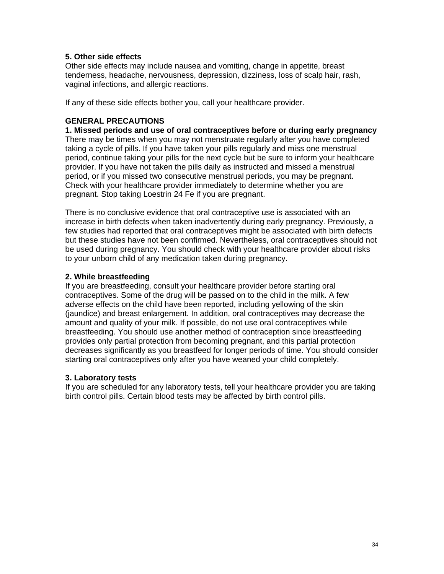# **5. Other side effects**

Other side effects may include nausea and vomiting, change in appetite, breast tenderness, headache, nervousness, depression, dizziness, loss of scalp hair, rash, vaginal infections, and allergic reactions.

If any of these side effects bother you, call your healthcare provider.

# **GENERAL PRECAUTIONS**

**1. Missed periods and use of oral contraceptives before or during early pregnancy**  There may be times when you may not menstruate regularly after you have completed taking a cycle of pills. If you have taken your pills regularly and miss one menstrual period, continue taking your pills for the next cycle but be sure to inform your healthcare provider. If you have not taken the pills daily as instructed and missed a menstrual period, or if you missed two consecutive menstrual periods, you may be pregnant. Check with your healthcare provider immediately to determine whether you are pregnant. Stop taking Loestrin 24 Fe if you are pregnant.

There is no conclusive evidence that oral contraceptive use is associated with an increase in birth defects when taken inadvertently during early pregnancy. Previously, a few studies had reported that oral contraceptives might be associated with birth defects but these studies have not been confirmed. Nevertheless, oral contraceptives should not be used during pregnancy. You should check with your healthcare provider about risks to your unborn child of any medication taken during pregnancy.

# **2. While breastfeeding**

If you are breastfeeding, consult your healthcare provider before starting oral contraceptives. Some of the drug will be passed on to the child in the milk. A few adverse effects on the child have been reported, including yellowing of the skin (jaundice) and breast enlargement. In addition, oral contraceptives may decrease the amount and quality of your milk. If possible, do not use oral contraceptives while breastfeeding. You should use another method of contraception since breastfeeding provides only partial protection from becoming pregnant, and this partial protection decreases significantly as you breastfeed for longer periods of time. You should consider starting oral contraceptives only after you have weaned your child completely.

# **3. Laboratory tests**

If you are scheduled for any laboratory tests, tell your healthcare provider you are taking birth control pills. Certain blood tests may be affected by birth control pills.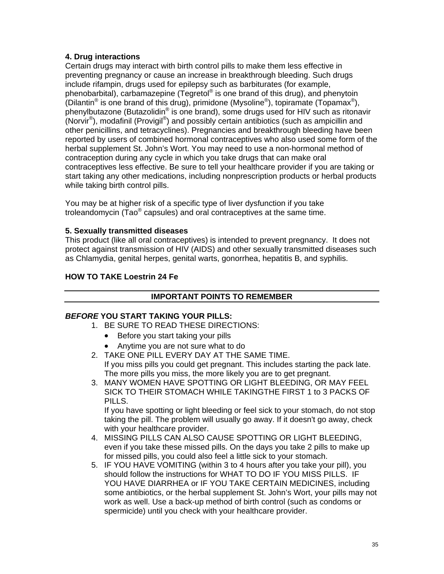# **4. Drug interactions**

Certain drugs may interact with birth control pills to make them less effective in preventing pregnancy or cause an increase in breakthrough bleeding. Such drugs include rifampin, drugs used for epilepsy such as barbiturates (for example, phenobarbital), carbamazepine (Tegretol<sup>®</sup> is one brand of this drug), and phenytoin (Dilantin<sup>®</sup> is one brand of this drug), primidone (Mysoline<sup>®</sup>), topiramate (Topamax<sup>®</sup>), phenylbutazone (Butazolidin<sup>®</sup> is one brand), some drugs used for HIV such as ritonavir (Norvir<sup>®</sup>), modafinil (Provigil®) and possibly certain antibiotics (such as ampicillin and other penicillins, and tetracyclines). Pregnancies and breakthrough bleeding have been reported by users of combined hormonal contraceptives who also used some form of the herbal supplement St. John's Wort. You may need to use a non-hormonal method of contraception during any cycle in which you take drugs that can make oral contraceptives less effective. Be sure to tell your healthcare provider if you are taking or start taking any other medications, including nonprescription products or herbal products while taking birth control pills.

You may be at higher risk of a specific type of liver dysfunction if you take troleandomycin (Tao® capsules) and oral contraceptives at the same time.

# **5. Sexually transmitted diseases**

This product (like all oral contraceptives) is intended to prevent pregnancy. It does not protect against transmission of HIV (AIDS) and other sexually transmitted diseases such as Chlamydia, genital herpes, genital warts, gonorrhea, hepatitis B, and syphilis.

# **HOW TO TAKE Loestrin 24 Fe**

# **IMPORTANT POINTS TO REMEMBER**

# *BEFORE* **YOU START TAKING YOUR PILLS:**

- 1. BE SURE TO READ THESE DIRECTIONS:
	- Before you start taking your pills
	- Anytime you are not sure what to do
- 2. TAKE ONE PILL EVERY DAY AT THE SAME TIME. If you miss pills you could get pregnant. This includes starting the pack late. The more pills you miss, the more likely you are to get pregnant.
- 3. MANY WOMEN HAVE SPOTTING OR LIGHT BLEEDING, OR MAY FEEL SICK TO THEIR STOMACH WHILE TAKINGTHE FIRST 1 to 3 PACKS OF PILLS.

If you have spotting or light bleeding or feel sick to your stomach, do not stop taking the pill. The problem will usually go away. If it doesn't go away, check with your healthcare provider.

- 4. MISSING PILLS CAN ALSO CAUSE SPOTTING OR LIGHT BLEEDING, even if you take these missed pills. On the days you take 2 pills to make up for missed pills, you could also feel a little sick to your stomach.
- 5. IF YOU HAVE VOMITING (within 3 to 4 hours after you take your pill), you should follow the instructions for WHAT TO DO IF YOU MISS PILLS. IF YOU HAVE DIARRHEA or IF YOU TAKE CERTAIN MEDICINES, including some antibiotics, or the herbal supplement St. John's Wort, your pills may not work as well. Use a back-up method of birth control (such as condoms or spermicide) until you check with your healthcare provider.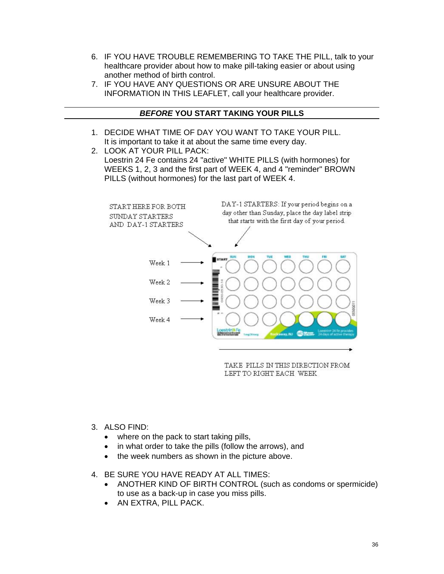- 6. IF YOU HAVE TROUBLE REMEMBERING TO TAKE THE PILL, talk to your healthcare provider about how to make pill-taking easier or about using another method of birth control.
- 7. IF YOU HAVE ANY QUESTIONS OR ARE UNSURE ABOUT THE INFORMATION IN THIS LEAFLET, call your healthcare provider.

# *BEFORE* **YOU START TAKING YOUR PILLS**

- 1. DECIDE WHAT TIME OF DAY YOU WANT TO TAKE YOUR PILL. It is important to take it at about the same time every day.
- 2. LOOK AT YOUR PILL PACK: Loestrin 24 Fe contains 24 "active" WHITE PILLS (with hormones) for WEEKS 1, 2, 3 and the first part of WEEK 4, and 4 "reminder" BROWN PILLS (without hormones) for the last part of WEEK 4.



TAKE PILLS IN THIS DIRECTION FROM LEFT TO RIGHT EACH WEEK

- 3. ALSO FIND:
	- where on the pack to start taking pills,
	- in what order to take the pills (follow the arrows), and
	- the week numbers as shown in the picture above.
- 4. BE SURE YOU HAVE READY AT ALL TIMES:
	- ANOTHER KIND OF BIRTH CONTROL (such as condoms or spermicide) to use as a back-up in case you miss pills.
	- AN EXTRA, PILL PACK.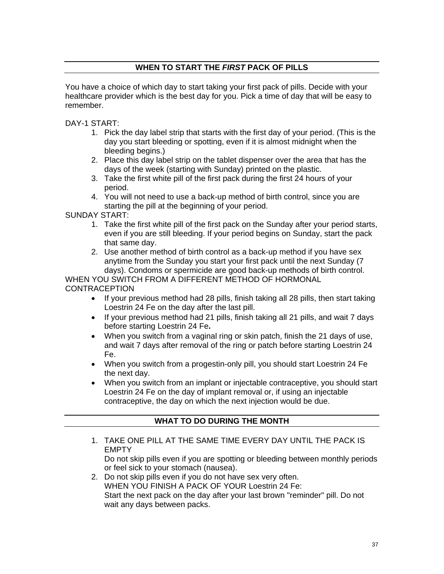# **WHEN TO START THE** *FIRST* **PACK OF PILLS**

You have a choice of which day to start taking your first pack of pills. Decide with your healthcare provider which is the best day for you. Pick a time of day that will be easy to remember.

DAY-1 START:

- 1. Pick the day label strip that starts with the first day of your period. (This is the day you start bleeding or spotting, even if it is almost midnight when the bleeding begins.)
- 2. Place this day label strip on the tablet dispenser over the area that has the days of the week (starting with Sunday) printed on the plastic.
- 3. Take the first white pill of the first pack during the first 24 hours of your period.
- 4. You will not need to use a back-up method of birth control, since you are starting the pill at the beginning of your period.

SUNDAY START:

- 1. Take the first white pill of the first pack on the Sunday after your period starts, even if you are still bleeding. If your period begins on Sunday, start the pack that same day.
- 2. Use another method of birth control as a back-up method if you have sex anytime from the Sunday you start your first pack until the next Sunday (7 days). Condoms or spermicide are good back-up methods of birth control.

WHEN YOU SWITCH FROM A DIFFERENT METHOD OF HORMONAL CONTRACEPTION

- If your previous method had 28 pills, finish taking all 28 pills, then start taking Loestrin 24 Fe on the day after the last pill.
- If your previous method had 21 pills, finish taking all 21 pills, and wait 7 days before starting Loestrin 24 Fe**.**
- When you switch from a vaginal ring or skin patch, finish the 21 days of use, and wait 7 days after removal of the ring or patch before starting Loestrin 24 Fe.
- When you switch from a progestin-only pill, you should start Loestrin 24 Fe the next day.
- When you switch from an implant or injectable contraceptive, you should start Loestrin 24 Fe on the day of implant removal or, if using an injectable contraceptive, the day on which the next injection would be due.

# **WHAT TO DO DURING THE MONTH**

1. TAKE ONE PILL AT THE SAME TIME EVERY DAY UNTIL THE PACK IS EMPTY

Do not skip pills even if you are spotting or bleeding between monthly periods or feel sick to your stomach (nausea).

2. Do not skip pills even if you do not have sex very often. WHEN YOU FINISH A PACK OF YOUR Loestrin 24 Fe: Start the next pack on the day after your last brown "reminder" pill. Do not wait any days between packs.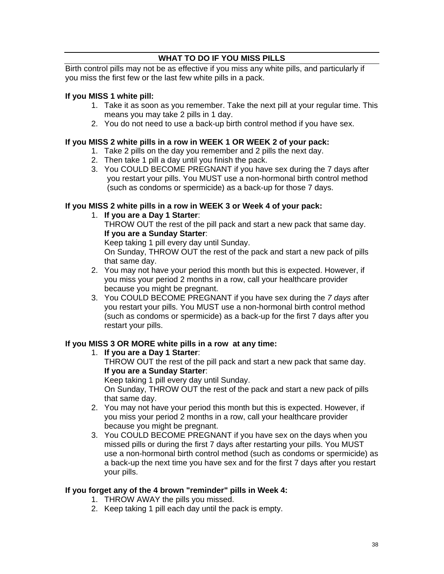# **WHAT TO DO IF YOU MISS PILLS**

Birth control pills may not be as effective if you miss any white pills, and particularly if you miss the first few or the last few white pills in a pack.

## **If you MISS 1 white pill:**

- 1. Take it as soon as you remember. Take the next pill at your regular time. This means you may take 2 pills in 1 day.
- 2. You do not need to use a back-up birth control method if you have sex.

## **If you MISS 2 white pills in a row in WEEK 1 OR WEEK 2 of your pack:**

- 1. Take 2 pills on the day you remember and 2 pills the next day.
- 2. Then take 1 pill a day until you finish the pack.
- 3. You COULD BECOME PREGNANT if you have sex during the 7 days after you restart your pills. You MUST use a non-hormonal birth control method (such as condoms or spermicide) as a back-up for those 7 days.

## **If you MISS 2 white pills in a row in WEEK 3 or Week 4 of your pack:**

1. **If you are a Day 1 Starter**:

THROW OUT the rest of the pill pack and start a new pack that same day. **If you are a Sunday Starter**:

Keep taking 1 pill every day until Sunday.

On Sunday, THROW OUT the rest of the pack and start a new pack of pills that same day.

- 2. You may not have your period this month but this is expected. However, if you miss your period 2 months in a row, call your healthcare provider because you might be pregnant.
- 3. You COULD BECOME PREGNANT if you have sex during the *7 days* after you restart your pills. You MUST use a non-hormonal birth control method (such as condoms or spermicide) as a back-up for the first 7 days after you restart your pills.

# **If you MISS 3 OR MORE white pills in a row at any time:**

1. **If you are a Day 1 Starter**:

THROW OUT the rest of the pill pack and start a new pack that same day. **If you are a Sunday Starter**:

Keep taking 1 pill every day until Sunday.

On Sunday, THROW OUT the rest of the pack and start a new pack of pills that same day.

- 2. You may not have your period this month but this is expected. However, if you miss your period 2 months in a row, call your healthcare provider because you might be pregnant.
- 3. You COULD BECOME PREGNANT if you have sex on the days when you missed pills or during the first 7 days after restarting your pills. You MUST use a non-hormonal birth control method (such as condoms or spermicide) as a back-up the next time you have sex and for the first 7 days after you restart your pills.

#### **If you forget any of the 4 brown "reminder" pills in Week 4:**

- 1. THROW AWAY the pills you missed.
- 2. Keep taking 1 pill each day until the pack is empty.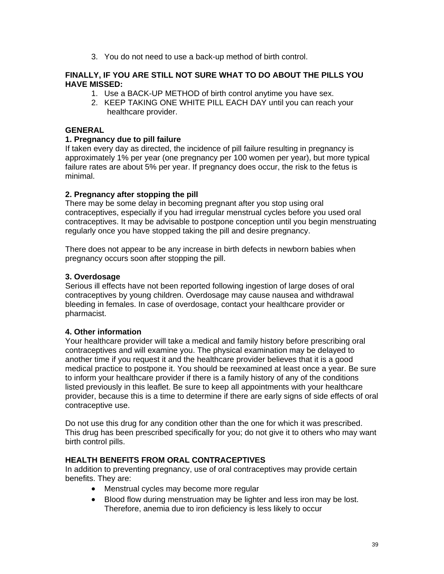3. You do not need to use a back-up method of birth control.

## **FINALLY, IF YOU ARE STILL NOT SURE WHAT TO DO ABOUT THE PILLS YOU HAVE MISSED:**

- 1. Use a BACK-UP METHOD of birth control anytime you have sex.
- 2. KEEP TAKING ONE WHITE PILL EACH DAY until you can reach your healthcare provider.

## **GENERAL**

## **1. Pregnancy due to pill failure**

If taken every day as directed, the incidence of pill failure resulting in pregnancy is approximately 1% per year (one pregnancy per 100 women per year), but more typical failure rates are about 5% per year. If pregnancy does occur, the risk to the fetus is minimal.

# **2. Pregnancy after stopping the pill**

There may be some delay in becoming pregnant after you stop using oral contraceptives, especially if you had irregular menstrual cycles before you used oral contraceptives. It may be advisable to postpone conception until you begin menstruating regularly once you have stopped taking the pill and desire pregnancy.

There does not appear to be any increase in birth defects in newborn babies when pregnancy occurs soon after stopping the pill.

## **3. Overdosage**

Serious ill effects have not been reported following ingestion of large doses of oral contraceptives by young children. Overdosage may cause nausea and withdrawal bleeding in females. In case of overdosage, contact your healthcare provider or pharmacist.

# **4. Other information**

Your healthcare provider will take a medical and family history before prescribing oral contraceptives and will examine you. The physical examination may be delayed to another time if you request it and the healthcare provider believes that it is a good medical practice to postpone it. You should be reexamined at least once a year. Be sure to inform your healthcare provider if there is a family history of any of the conditions listed previously in this leaflet. Be sure to keep all appointments with your healthcare provider, because this is a time to determine if there are early signs of side effects of oral contraceptive use.

Do not use this drug for any condition other than the one for which it was prescribed. This drug has been prescribed specifically for you; do not give it to others who may want birth control pills.

# **HEALTH BENEFITS FROM ORAL CONTRACEPTIVES**

In addition to preventing pregnancy, use of oral contraceptives may provide certain benefits. They are:

- Menstrual cycles may become more regular
- Blood flow during menstruation may be lighter and less iron may be lost. Therefore, anemia due to iron deficiency is less likely to occur